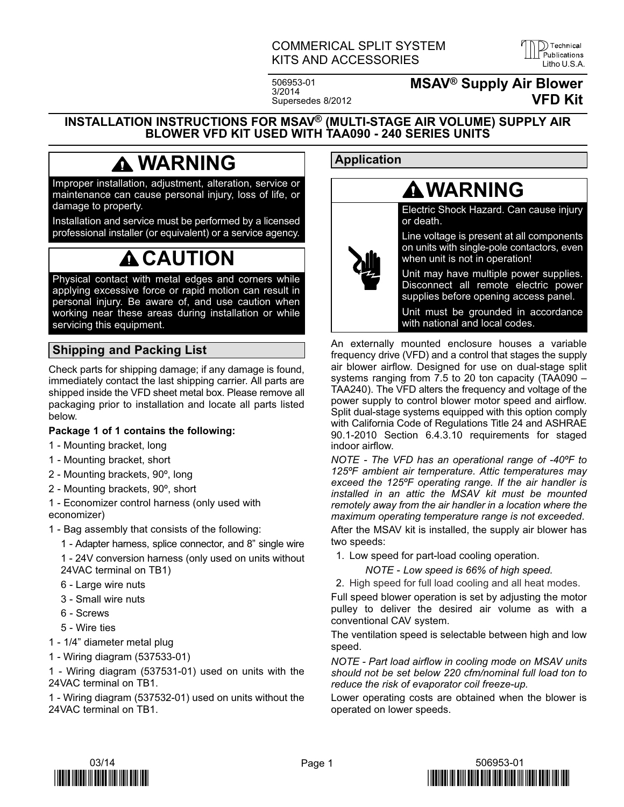# COMMERICAL SPLIT SYSTEM **KITS AND ACCESSORIES**



506953-01 3/2014 Supersedes 8/2012

# **MSAV® Supply Air Blower VFD Kit**

## **INSTALLATION INSTRUCTIONS FOR MSAV® (MULTI-STAGE AIR VOLUME) SUPPLY AIR BLOWER VFD KIT USED WITH TAA090 - 240 SERIES UNITS**

# **WARNING**

Improper installation, adjustment, alteration, service or maintenance can cause personal injury, loss of life, or damage to property.

Installation and service must be performed by a licensed professional installer (or equivalent) or a service agency.

# **A** CAUTION

Physical contact with metal edges and corners while applying excessive force or rapid motion can result in personal injury. Be aware of, and use caution when working near these areas during installation or while servicing this equipment.

# **Shipping and Packing List**

Check parts for shipping damage; if any damage is found, immediately contact the last shipping carrier. All parts are shipped inside the VFD sheet metal box. Please remove all packaging prior to installation and locate all parts listed below.

### **Package 1 of 1 contains the following:**

- 1 Mounting bracket, long
- 1 Mounting bracket, short
- 2 Mounting brackets, 90º, long
- 2 Mounting brackets, 90º, short

1 - Economizer control harness (only used with economizer)

- 1 Bag assembly that consists of the following:
	- 1 Adapter harness, splice connector, and 8" single wire

1 - 24V conversion harness (only used on units without 24VAC terminal on TB1)

- 6 Large wire nuts
- 3 Small wire nuts
- 6 Screws
- 5 Wire ties
- 1 1/4" diameter metal plug
- 1 Wiring diagram (537533-01)

1 - Wiring diagram (537531-01) used on units with the 24VAC terminal on TB1.

1 - Wiring diagram (537532-01) used on units without the 24VAC terminal on TB1.

# **Application**



# **WARNING**

Electric Shock Hazard. Can cause injury or death.

Line voltage is present at all components on units with single‐pole contactors, even when unit is not in operation!

Unit may have multiple power supplies. Disconnect all remote electric power supplies before opening access panel.

Unit must be grounded in accordance with national and local codes.

An externally mounted enclosure houses a variable frequency drive (VFD) and a control that stages the supply air blower airflow. Designed for use on dual-stage split systems ranging from 7.5 to 20 ton capacity (TAA090 – TAA240). The VFD alters the frequency and voltage of the power supply to control blower motor speed and airflow. Split dual-stage systems equipped with this option comply with California Code of Regulations Title 24 and ASHRAE 90.1-2010 Section 6.4.3.10 requirements for staged indoor airflow.

*NOTE - The VFD has an operational range of -40ºF to 125ºF ambient air temperature. Attic temperatures may exceed the 125ºF operating range. If the air handler is installed in an attic the MSAV kit must be mounted remotely away from the air handler in a location where the maximum operating temperature range is not exceeded*.

After the MSAV kit is installed, the supply air blower has two speeds:

1. Low speed for part-load cooling operation.

*NOTE* - *Low speed is 66% of high speed.*

2. High speed for full load cooling and all heat modes.

Full speed blower operation is set by adjusting the motor pulley to deliver the desired air volume as with a conventional CAV system.

The ventilation speed is selectable between high and low speed.

*NOTE - Part load airflow in cooling mode on MSAV units should not be set below 220 cfm/nominal full load ton to reduce the risk of evaporator coil freeze-up.*

Lower operating costs are obtained when the blower is operated on lower speeds.



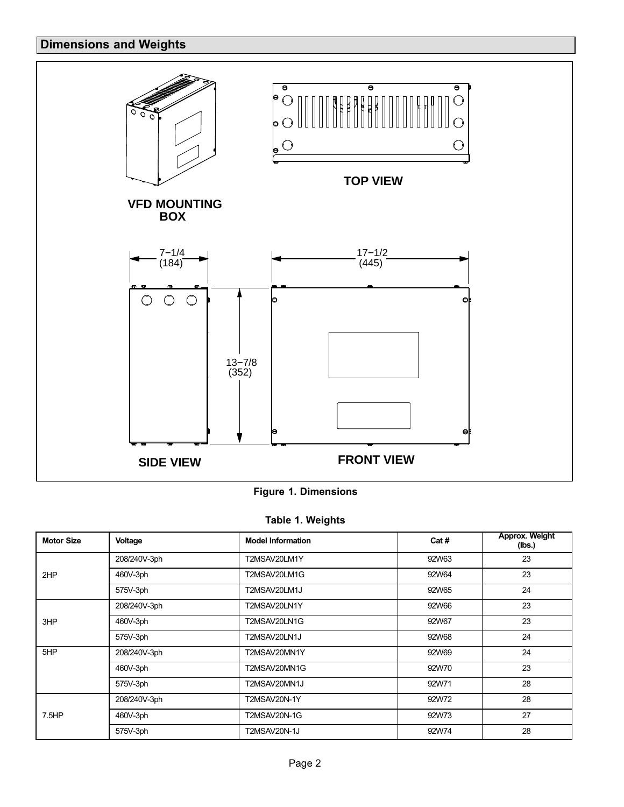

|  | <b>Figure 1. Dimensions</b> |
|--|-----------------------------|
|  |                             |

|  |  | Table 1. Weights |
|--|--|------------------|
|--|--|------------------|

| <b>Motor Size</b> | Voltage      | <b>Model Information</b> | Cat#  | Approx. Weight<br>(Ibs.) |
|-------------------|--------------|--------------------------|-------|--------------------------|
|                   | 208/240V-3ph | T2MSAV20LM1Y             | 92W63 | 23                       |
| 2HP               | 460V-3ph     | T2MSAV20LM1G             | 92W64 | 23                       |
|                   | 575V-3ph     | T2MSAV20LM1J             | 92W65 | 24                       |
|                   | 208/240V-3ph | T2MSAV20LN1Y             | 92W66 | 23                       |
| 3HP               | 460V-3ph     | T2MSAV20LN1G             | 92W67 | 23                       |
|                   | 575V-3ph     | T2MSAV20LN1J             | 92W68 | 24                       |
| 5HP               | 208/240V-3ph | T2MSAV20MN1Y             | 92W69 | 24                       |
|                   | 460V-3ph     | T2MSAV20MN1G             | 92W70 | 23                       |
|                   | 575V-3ph     | T2MSAV20MN1J             | 92W71 | 28                       |
|                   | 208/240V-3ph | T2MSAV20N-1Y             | 92W72 | 28                       |
| 7.5HP             | 460V-3ph     | T2MSAV20N-1G             | 92W73 | 27                       |
|                   | 575V-3ph     | T2MSAV20N-1J             | 92W74 | 28                       |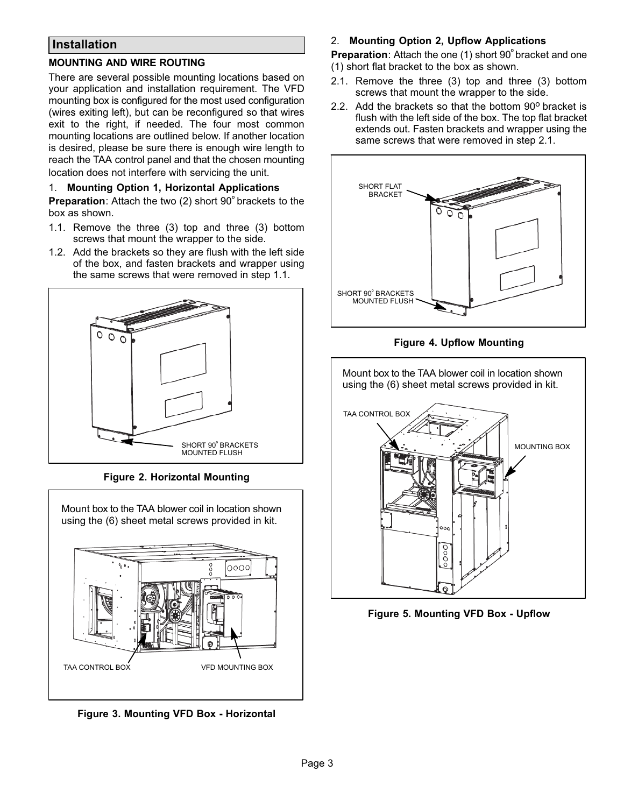### **Installation**

#### **MOUNTING AND WIRE ROUTING**

There are several possible mounting locations based on your application and installation requirement. The VFD mounting box is configured for the most used configuration (wires exiting left), but can be reconfigured so that wires exit to the right, if needed. The four most common mounting locations are outlined below. If another location is desired, please be sure there is enough wire length to reach the TAA control panel and that the chosen mounting location does not interfere with servicing the unit.

## 1. **Mounting Option 1, Horizontal Applications**

**Preparation:** Attach the two (2) short 90° brackets to the box as shown.

- 1.1. Remove the three (3) top and three (3) bottom screws that mount the wrapper to the side.
- 1.2. Add the brackets so they are flush with the left side of the box, and fasten brackets and wrapper using the same screws that were removed in step 1.1.



**Figure 2. Horizontal Mounting**



**Figure 3. Mounting VFD Box - Horizontal**

## 2. **Mounting Option 2, Upflow Applications**

**Preparation:** Attach the one (1) short 90° bracket and one (1) short flat bracket to the box as shown.

- 2.1. Remove the three (3) top and three (3) bottom screws that mount the wrapper to the side.
- 2.2. Add the brackets so that the bottom  $90^{\circ}$  bracket is flush with the left side of the box. The top flat bracket extends out. Fasten brackets and wrapper using the same screws that were removed in step 2.1.



**Figure 4. Upflow Mounting**



**Figure 5. Mounting VFD Box - Upflow**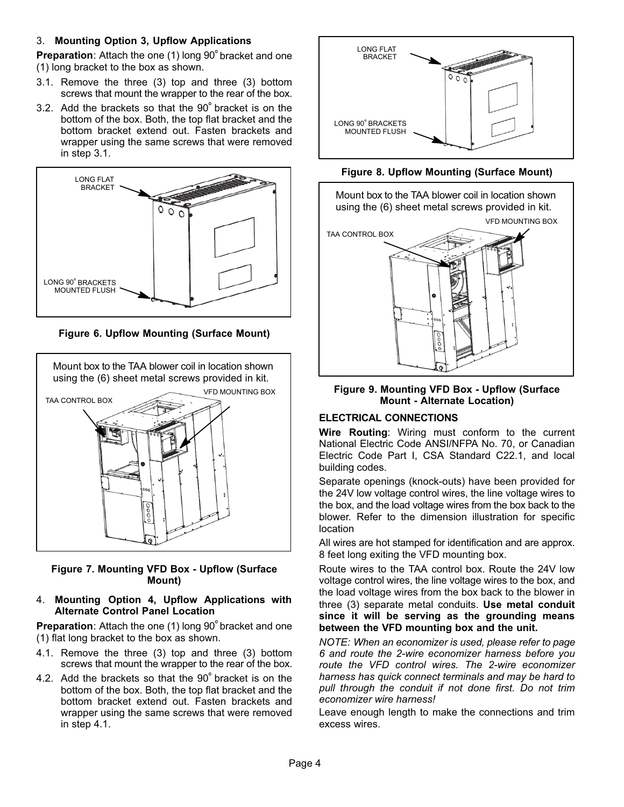### 3. **Mounting Option 3, Upflow Applications**

**Preparation:** Attach the one (1) long 90° bracket and one (1) long bracket to the box as shown.

- 3.1. Remove the three (3) top and three (3) bottom screws that mount the wrapper to the rear of the box.
- 3.2. Add the brackets so that the 90º bracket is on the bottom of the box. Both, the top flat bracket and the bottom bracket extend out. Fasten brackets and wrapper using the same screws that were removed in step 3.1.



**Figure 6. Upflow Mounting (Surface Mount)**



**Figure 7. Mounting VFD Box - Upflow (Surface Mount)**

#### 4. **Mounting Option 4, Upflow Applications with Alternate Control Panel Location**

**Preparation:** Attach the one (1) long 90° bracket and one (1) flat long bracket to the box as shown.

- 4.1. Remove the three (3) top and three (3) bottom screws that mount the wrapper to the rear of the box.
- 4.2. Add the brackets so that the 90º bracket is on the bottom of the box. Both, the top flat bracket and the bottom bracket extend out. Fasten brackets and wrapper using the same screws that were removed in step 4.1.



**Figure 8. Upflow Mounting (Surface Mount)**



**Figure 9. Mounting VFD Box - Upflow (Surface Mount - Alternate Location)**

### **ELECTRICAL CONNECTIONS**

**Wire Routing**: Wiring must conform to the current National Electric Code ANSI/NFPA No. 70, or Canadian Electric Code Part I, CSA Standard C22.1, and local building codes.

Separate openings (knock-outs) have been provided for the 24V low voltage control wires, the line voltage wires to the box, and the load voltage wires from the box back to the blower. Refer to the dimension illustration for specific location

All wires are hot stamped for identification and are approx. 8 feet long exiting the VFD mounting box.

Route wires to the TAA control box. Route the 24V low voltage control wires, the line voltage wires to the box, and the load voltage wires from the box back to the blower in three (3) separate metal conduits. **Use metal conduit since it will be serving as the grounding means between the VFD mounting box and the unit.**

*NOTE: When an economizer is used, please refer to page 6 and route the 2-wire economizer harness before you route the VFD control wires. The 2-wire economizer harness has quick connect terminals and may be hard to pull through the conduit if not done first. Do not trim economizer wire harness!*

Leave enough length to make the connections and trim excess wires.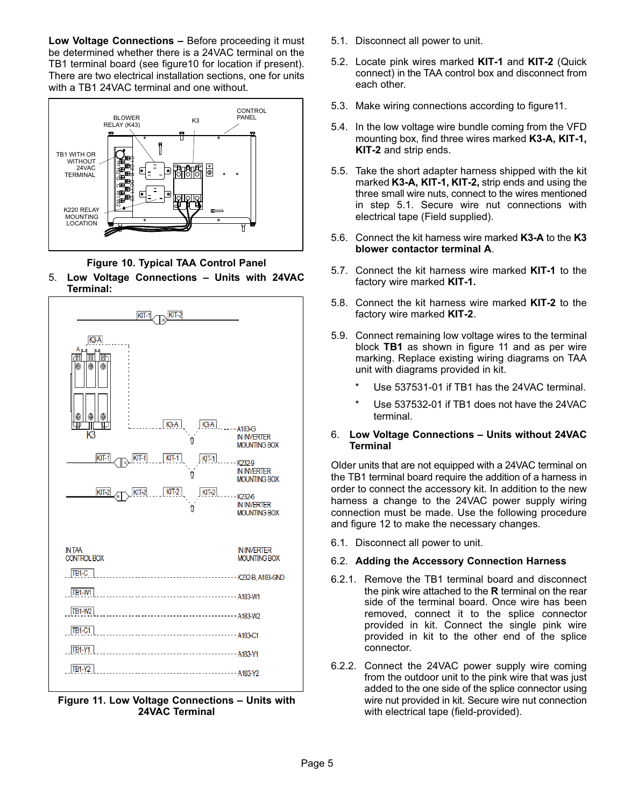**Low Voltage Connections –** Before proceeding it must be determined whether there is a 24VAC terminal on the TB1 terminal board (see figure10 for location if present). There are two electrical installation sections, one for units with a TB1 24VAC terminal and one without.



**Figure 10. Typical TAA Control Panel**

5. **Low Voltage Connections – Units with 24VAC Terminal:**



**Figure 11. Low Voltage Connections – Units with 24VAC Terminal**

- 5.1. Disconnect all power to unit.
- 5.2. Locate pink wires marked **KIT-1** and **KIT-2** (Quick connect) in the TAA control box and disconnect from each other.
- 5.3. Make wiring connections according to figure11.
- 5.4. In the low voltage wire bundle coming from the VFD mounting box, find three wires marked **K3-A, KIT-1, KIT-2** and strip ends.
- 5.5. Take the short adapter harness shipped with the kit marked **K3-A, KIT-1, KIT-2,** strip ends and using the three small wire nuts, connect to the wires mentioned in step 5.1. Secure wire nut connections with electrical tape (Field supplied).
- 5.6. Connect the kit harness wire marked **K3-A** to the **K3 blower contactor terminal A**.
- 5.7. Connect the kit harness wire marked **KIT-1** to the factory wire marked **KIT-1.**
- 5.8. Connect the kit harness wire marked **KIT-2** to the factory wire marked **KIT-2**.
- 5.9. Connect remaining low voltage wires to the terminal block **TB1** as shown in figure 11 and as per wire marking. Replace existing wiring diagrams on TAA unit with diagrams provided in kit.
	- Use 537531-01 if TB1 has the 24VAC terminal.
	- Use 537532-01 if TB1 does not have the 24VAC terminal.

#### 6. **Low Voltage Connections – Units without 24VAC Terminal**

Older units that are not equipped with a 24VAC terminal on the TB1 terminal board require the addition of a harness in order to connect the accessory kit. In addition to the new harness a change to the 24VAC power supply wiring connection must be made. Use the following procedure and figure [12](#page-5-0) to make the necessary changes.

6.1. Disconnect all power to unit.

#### 6.2. **Adding the Accessory Connection Harness**

- 6.2.1. Remove the TB1 terminal board and disconnect the pink wire attached to the **R** terminal on the rear side of the terminal board. Once wire has been removed, connect it to the splice connector provided in kit. Connect the single pink wire provided in kit to the other end of the splice connector.
- 6.2.2. Connect the 24VAC power supply wire coming from the outdoor unit to the pink wire that was just added to the one side of the splice connector using wire nut provided in kit. Secure wire nut connection with electrical tape (field-provided).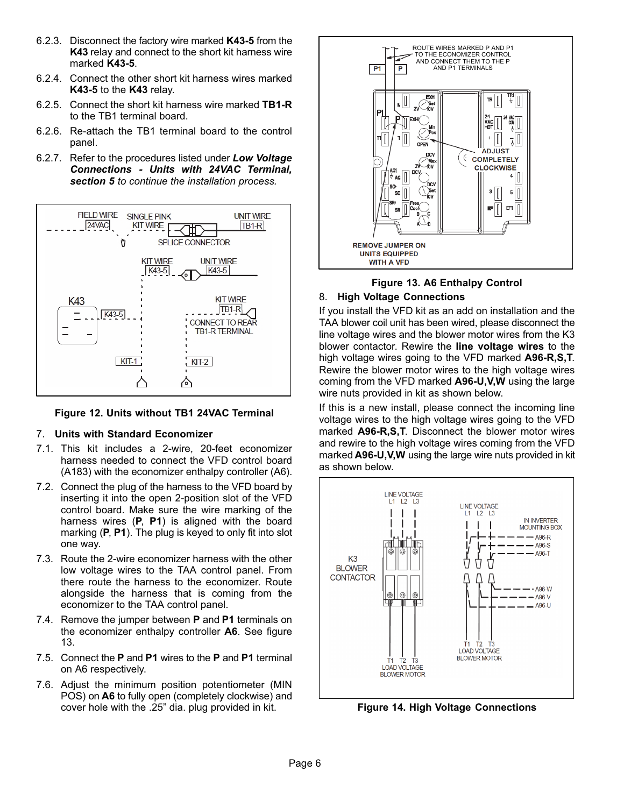- <span id="page-5-0"></span>6.2.3. Disconnect the factory wire marked **K43-5** from the **K43** relay and connect to the short kit harness wire marked **K43-5**.
- 6.2.4. Connect the other short kit harness wires marked **K43-5** to the **K43** relay.
- 6.2.5. Connect the short kit harness wire marked **TB1-R** to the TB1 terminal board.
- 6.2.6. Re-attach the TB1 terminal board to the control panel.
- 6.2.7. Refer to the procedures listed under *Low Voltage* **section 5** to continue the installation process.



#### **Figure 12. Units without TB1 24VAC Terminal**

#### 7. **Units with Standard Economizer**

- 7.1. This kit includes a 2-wire, 20-feet economizer harness needed to connect the VFD control board (A183) with the economizer enthalpy controller (A6).
- 7.2. Connect the plug of the harness to the VFD board by inserting it into the open 2-position slot of the VFD control board. Make sure the wire marking of the harness wires (**P**, **P1**) is aligned with the board marking (**P**, **P1**). The plug is keyed to only fit into slot one way.
- 7.3. Route the 2-wire economizer harness with the other low voltage wires to the TAA control panel. From there route the harness to the economizer. Route alongside the harness that is coming from the economizer to the TAA control panel.
- 7.4. Remove the jumper between **P** and **P1** terminals on the economizer enthalpy controller **A6**. See figure 13.
- 7.5. Connect the **P** and **P1** wires to the **P** and **P1** terminal on A6 respectively.
- 7.6. Adjust the minimum position potentiometer (MIN POS) on **A6** to fully open (completely clockwise) and cover hole with the .25" dia. plug provided in kit.



# **Figure 13. A6 Enthalpy Control**

### 8. **High Voltage Connections**

If you install the VFD kit as an add on installation and the TAA blower coil unit has been wired, please disconnect the line voltage wires and the blower motor wires from the K3 blower contactor. Rewire the **line voltage wires** to the high voltage wires going to the VFD marked **A96-R,S,T**. Rewire the blower motor wires to the high voltage wires coming from the VFD marked **A96-U,V,W** using the large wire nuts provided in kit as shown below.

If this is a new install, please connect the incoming line voltage wires to the high voltage wires going to the VFD marked **A96-R,S,T**. Disconnect the blower motor wires and rewire to the high voltage wires coming from the VFD marked **A96-U,V,W** using the large wire nuts provided in kit as shown below.



**Figure 14. High Voltage Connections**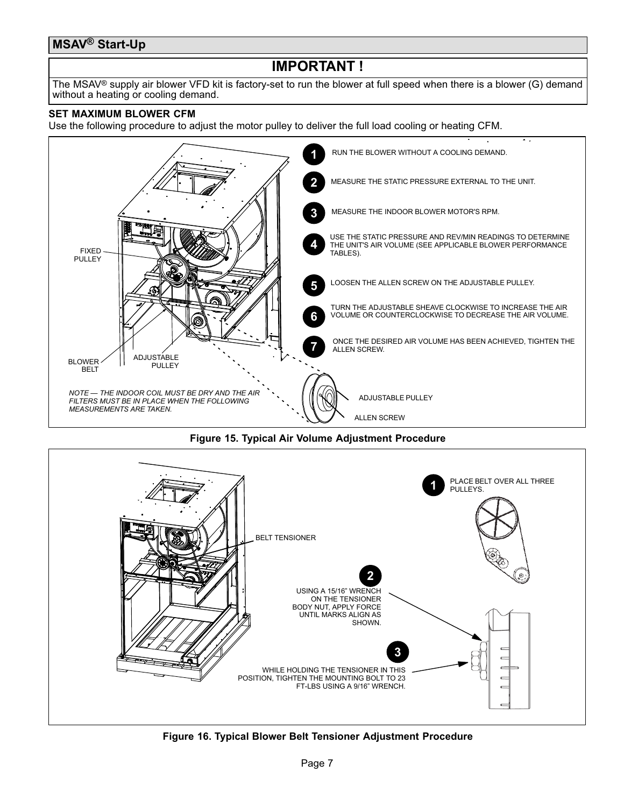## **MSAV® Start-Up**

# **IMPORTANT !**

The MSAV<sup>®</sup> supply air blower VFD kit is factory-set to run the blower at full speed when there is a blower (G) demand without a heating or cooling demand.

#### **SET MAXIMUM BLOWER CFM**

Use the following procedure to adjust the motor pulley to deliver the full load cooling or heating CFM.



**Figure 15. Typical Air Volume Adjustment Procedure**



**Figure 16. Typical Blower Belt Tensioner Adjustment Procedure**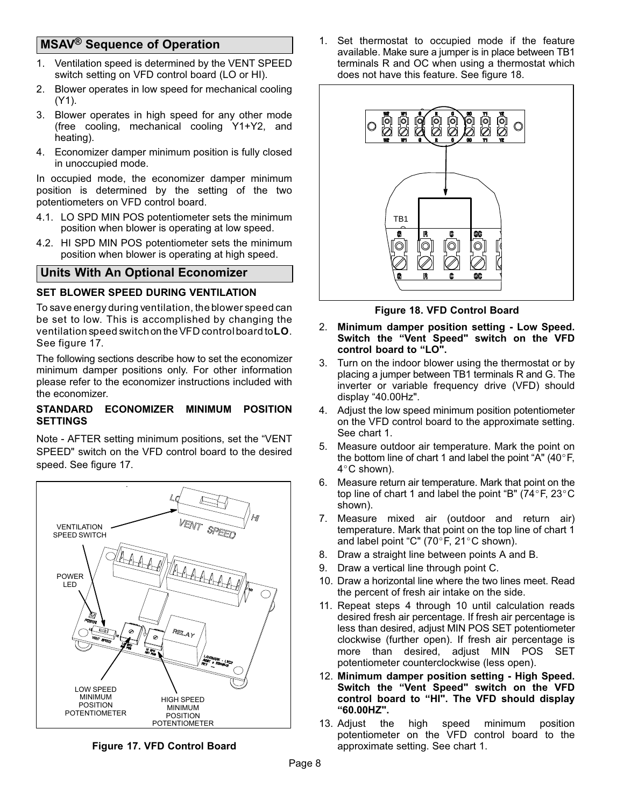# <span id="page-7-0"></span>**MSAV® Sequence of Operation**

- 1. Ventilation speed is determined by the VENT SPEED switch setting on VFD control board (LO or HI).
- 2. Blower operates in low speed for mechanical cooling (Y1).
- 3. Blower operates in high speed for any other mode (free cooling, mechanical cooling Y1+Y2, and heating).
- 4. Economizer damper minimum position is fully closed in unoccupied mode.

In occupied mode, the economizer damper minimum position is determined by the setting of the two potentiometers on VFD control board.

- 4.1. LO SPD MIN POS potentiometer sets the minimum position when blower is operating at low speed.
- 4.2. HI SPD MIN POS potentiometer sets the minimum position when blower is operating at high speed.

## **Units With An Optional Economizer**

#### **SET BLOWER SPEED DURING VENTILATION**

To save energy during ventilation, the blower speed can be set to low. This is accomplished by changing the ventilation speed switch on the VFD control board to **LO**. See figure 17.

The following sections describe how to set the economizer minimum damper positions only. For other information please refer to the economizer instructions included with the economizer.

#### **STANDARD ECONOMIZER MINIMUM POSITION SETTINGS**

Note - AFTER setting minimum positions, set the "VENT SPEED" switch on the VFD control board to the desired speed. See figure 17.



**Figure 17. VFD Control Board**

1. Set thermostat to occupied mode if the feature available. Make sure a jumper is in place between TB1 terminals R and OC when using a thermostat which does not have this feature. See figure 18.



**Figure 18. VFD Control Board**

- 2. **Minimum damper position setting Low Speed. Switch the "Vent Speed" switch on the VFD control board to "LO".**
- 3. Turn on the indoor blower using the thermostat or by placing a jumper between TB1 terminals R and G. The inverter or variable frequency drive (VFD) should display "40.00Hz".
- 4. Adjust the low speed minimum position potentiometer on the VFD control board to the approximate setting. See chart 1.
- 5. Measure outdoor air temperature. Mark the point on the bottom line of chart 1 and label the point "A" (40°F, the bottom line of chart 1 and label the point "A"  $(40^{\circ}F, 4^{\circ}C \text{ shown}).$  $4^{\circ}$ C shown).
- 6. Measure return air temperature. Mark that point on the top line of chart 1 and label the point "B" (74°F, 23°C top line of chart 1 and label the point "B" (74°F, 23°C shown).
- 7. Measure mixed air (outdoor and return air) temperature. Mark that point on the top line of chart 1 demperature. Mark that point on the top I<br>and label point "C" (70°F, 21°C shown).
- 8. Draw a straight line between points A and B.
- 9. Draw a vertical line through point C.
- 10. Draw a horizontal line where the two lines meet. Read the percent of fresh air intake on the side.
- 11. Repeat steps 4 through 10 until calculation reads desired fresh air percentage. If fresh air percentage is less than desired, adjust MIN POS SET potentiometer clockwise (further open). If fresh air percentage is more than desired, adjust MIN POS SET potentiometer counterclockwise (less open).
- 12. **Minimum damper position setting High Speed. Switch the "Vent Speed" switch on the VFD control board to "HI". The VFD should display "60.00HZ".**
- 13. Adjust the high speed minimum position potentiometer on the VFD control board to the approximate setting. See chart 1.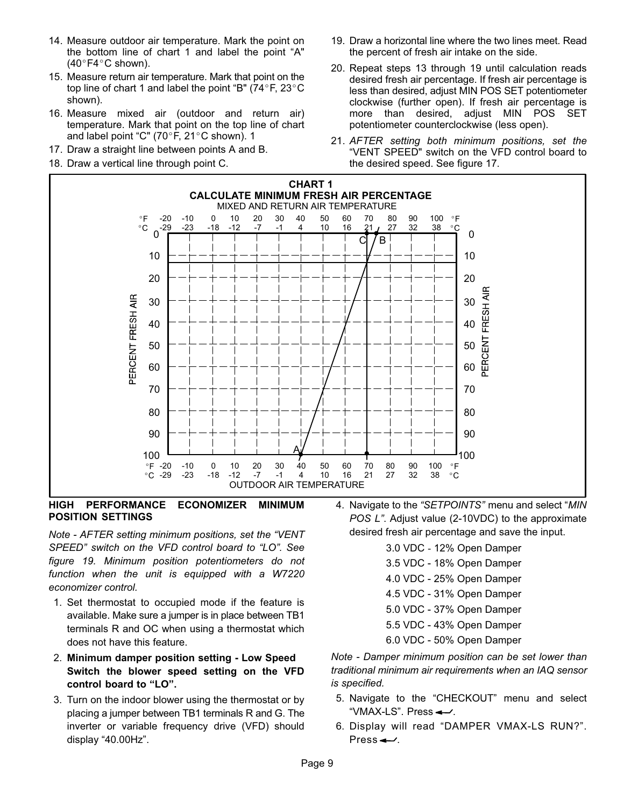- <span id="page-8-0"></span>14. Measure outdoor air temperature. Mark the point on the bottom line of chart 1 and label the point "A"  $(40^\circ$ F4 $^\circ$ C shown).  $(40^{\circ}$ F4 $^{\circ}$ C shown).
- 15. Measure return air temperature. Mark that point on the top line of chart 1 and label the point "B" (74°F, 23°C top line of chart 1 and label the point "B" (74 $\degree$ F, 23 $\degree$ C shown).
- 16. Measure mixed air (outdoor and return air) temperature. Mark that point on the top line of chart<br>and label point "C" (70°F, 21°C shown). 1 and label point "C" (70 $\degree$ F, 21 $\degree$ C shown). 1
- 17. Draw a straight line between points A and B.
- 18. Draw a vertical line through point C.
- 19. Draw a horizontal line where the two lines meet. Read the percent of fresh air intake on the side.
- 20. Repeat steps 13 through 19 until calculation reads desired fresh air percentage. If fresh air percentage is less than desired, adjust MIN POS SET potentiometer clockwise (further open). If fresh air percentage is more than desired, adjust MIN POS SET potentiometer counterclockwise (less open).
- 21. *AFTER setting both minimum positions, set the* "VENT SPEED" switch on the VFD control board to the desired speed. See figure [17.](#page-7-0)



**HIGH PERFORMANCE ECONOMIZER MINIMUM POSITION SETTINGS**

*Note - AFTER setting minimum positions, set the "VENT SPEED" switch on the VFD control board to "LO". See figure [19](#page-9-0). Minimum position potentiometers do not function when the unit is equipped with a W7220 economizer control.*

- 1. Set thermostat to occupied mode if the feature is available. Make sure a jumper is in place between TB1 terminals R and OC when using a thermostat which does not have this feature.
- 2. **Minimum damper position setting Low Speed Switch the blower speed setting on the VFD control board to "LO".**
- 3. Turn on the indoor blower using the thermostat or by placing a jumper between TB1 terminals R and G. The inverter or variable frequency drive (VFD) should display "40.00Hz".

4. Navigate to the *"SETPOINTS"* menu and select "*MIN POS L"*. Adjust value (2-10VDC) to the approximate desired fresh air percentage and save the input. Adjust value (2-10VDC) to th<br>fresh air percentage and save<br>3.0 VDC - 12% Open Damper

| 3.0 VDC - 12% Open Damper |
|---------------------------|
| 3.5 VDC - 18% Open Damper |
| 4.0 VDC - 25% Open Damper |
| 4.5 VDC - 31% Open Damper |
| 5.0 VDC - 37% Open Damper |
| 5.5 VDC - 43% Open Damper |
| 6.0 VDC - 50% Open Damper |

*Note - Damper minimum position can be set lower than traditional minimum air requirements when an IAQ sensor is specified.*

- 5. Navigate to the "CHECKOUT" menu and select "VMAX-LS". Press $\leftarrow$ .
- 6. Display will read "DAMPER VMAX-LS RUN?". Press $\leftarrow$ .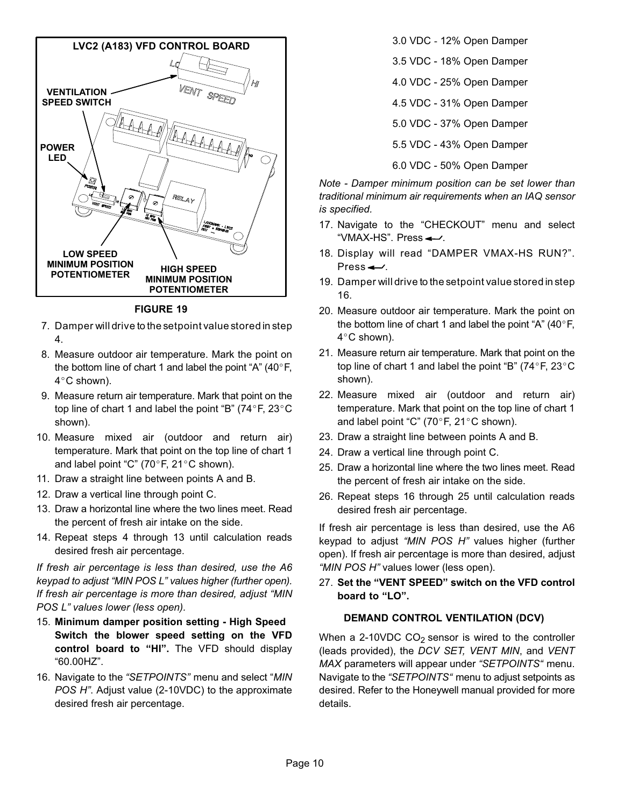<span id="page-9-0"></span>

**FIGURE 19**

- 7. Damper will drive to the setpoint value stored in step [4](#page-8-0).
- 8. Measure outdoor air temperature. Mark the point on Measure outdoor air temperature. Mark the point on<br>the bottom line of chart 1 and label the point "A" (40°F,<br>4°C shown). 4°C shown).
- 9. Measure return air temperature. Mark that point on the Measure return air temperature. Mark that point on the<br>top line of chart 1 and label the point "B" (74°F, 23°C shown).
- 10. Measure mixed air (outdoor and return air) temperature. Mark that point on the top line of chart 1 temperature. Mark that point on the top I<br>and label point "C" (70°F, 21°C shown).
- 11. Draw a straight line between points A and B.
- 12. Draw a vertical line through point C.
- 13. Draw a horizontal line where the two lines meet. Read the percent of fresh air intake on the side.
- 14. Repeat steps 4 through 13 until calculation reads desired fresh air percentage.

*If fresh air percentage is less than desired, use the A6 keypad to adjust "MIN POS L" values higher (further open). If fresh air percentage is more than desired, adjust "MIN POS L" values lower (less open).*

- 15. **Minimum damper position setting High Speed Switch the blower speed setting on the VFD control board to "HI".** The VFD should display "60.00HZ".
- 16. Navigate to the *"SETPOINTS"* menu and select "*MIN POS H"*. Adjust value (2-10VDC) to the approximate desired fresh air percentage.

3.0 VDC - 12% Open Damper 3.5 VDC - 18% Open Damper 4.0 VDC 25% Open Damper 4.5 VDC - 31% Open Damper 5.0 VDC 37% Open Damper 5.5 VDC 43% Open Damper 6.0 VDC - 50% Open Damper

*Note - Damper minimum position can be set lower than traditional minimum air requirements when an IAQ sensor is specified.*

- 17. Navigate to the "CHECKOUT" menu and select "VMAX-HS". Press $\leftarrow$ .
- 18. Display will read "DAMPER VMAX-HS RUN?". Press $\leftarrow$ .
- 19. Damper will drive to the setpoint value stored in step 16.
- 20. Measure outdoor air temperature. Mark the point on the bottom line of chart 1 and label the point "A"  $(40^{\circ}F,$ the bottom line of chart 1 and label the point "A" (40°F,<br>4°C shown).  $4^{\circ}$ C shown).
- 21. Measure return air temperature. Mark that point on the top line of chart 1 and label the point "B" (74°F, 23°C top line of chart 1 and label the point "B" (74 $\degree$ F, 23 $\degree$ C shown).
- 22. Measure mixed air (outdoor and return air) temperature. Mark that point on the top line of chart 1<br>and label point "C" (70°F, 21°C shown). and label point "C" (70 $\degree$ F, 21 $\degree$ C shown).
- 23. Draw a straight line between points A and B.
- 24. Draw a vertical line through point C.
- 25. Draw a horizontal line where the two lines meet. Read the percent of fresh air intake on the side.
- 26. Repeat steps 16 through 25 until calculation reads desired fresh air percentage.

If fresh air percentage is less than desired, use the A6 keypad to adjust *"MIN POS H"* values higher (further open). If fresh air percentage is more than desired, adjust *"MIN POS H"* values lower (less open).

27. **Set the "VENT SPEED" switch on the VFD control board to "LO".**

#### **DEMAND CONTROL VENTILATION (DCV)**

When a 2-10VDC  $CO<sub>2</sub>$  sensor is wired to the controller (leads provided), the *DCV SET, VENT MIN*, and *VENT MAX* parameters will appear under *"SETPOINTS"* menu. Navigate to the *"SETPOINTS"* menu to adjust setpoints as desired. Refer to the Honeywell manual provided for more details.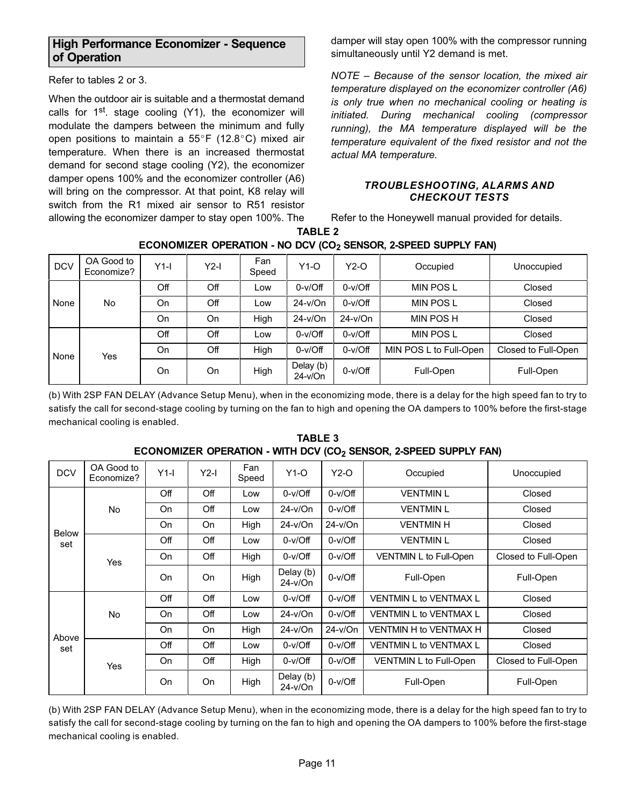#### **High Performance Economizer - Sequence of Operation**

Refer to tables 2 or 3.

When the outdoor air is suitable and a thermostat demand calls for 1<sup>st</sup>. stage cooling (Y1), the economizer will modulate the dampers between the minimum and fully<br>open positions to maintain a 55°F (12.8°C) mixed air open positions to maintain a  $55^{\circ}F$  (12.8°C) mixed air temperature. When there is an increased thermostat demand for second stage cooling (Y2), the economizer damper opens 100% and the economizer controller (A6) will bring on the compressor. At that point, K8 relay will switch from the R1 mixed air sensor to R51 resistor allowing the economizer damper to stay open 100%. The damper will stay open 100% with the compressor running simultaneously until Y2 demand is met.

*NOTE – Because of the sensor location, the mixed air temperature displayed on the economizer controller (A6) is only true when no mechanical cooling or heating is initiated. During mechanical cooling (compressor running), the MA temperature displayed will be the temperature equivalent of the fixed resistor and not the actual MA temperature.*

# *TROUBLESHOOTING, ALARMS AND*

Refer to the Honeywell manual provided for details.

**TABLE 2**

| <b>DCV</b> | OA Good to<br>Economize? | $Y1-I$   | $Y2-I$ | Fan<br>Speed | $Y1-O$                 | $Y2-O$    | Occupied               | Unoccupied          |
|------------|--------------------------|----------|--------|--------------|------------------------|-----------|------------------------|---------------------|
|            |                          | Off      | Off    | Low          | $0-v/Off$              | $0-v/Off$ | <b>MIN POS L</b>       | Closed              |
| None       | <b>No</b>                | On       | Off    | LOW          | $24-v/On$              | $0-v/Off$ | <b>MIN POS L</b>       | Closed              |
|            |                          | On<br>On |        | High         | $24-v/On$              | $24-v/On$ | MIN POS H              | Closed              |
|            |                          | Off      | Off    | Low          | $0-v/Off$              | $0-v/Off$ | <b>MIN POS L</b>       | Closed              |
| None       | Yes                      | On       | Off    | High         | $0-v/Off$              | $0-v/Off$ | MIN POS L to Full-Open | Closed to Full-Open |
|            |                          | On       | On     | High         | Delay (b)<br>$24-v/On$ | $0-v/Off$ | Full-Open              | Full-Open           |

(b) With 2SP FAN DELAY (Advance Setup Menu), when in the economizing mode, there is a delay for the high speed fan to try to satisfy the call for second-stage cooling by turning on the fan to high and opening the OA dampers to 100% before the first-stage mechanical cooling is enabled.

| <b>DCV</b>          | OA Good to<br>Economize? | $Y1-I$    | Fan<br>$Y2-O$<br>$Y2-I$<br>$Y1-O$<br>Speed |                  | Occupied                            | Unoccupied |                               |                     |
|---------------------|--------------------------|-----------|--------------------------------------------|------------------|-------------------------------------|------------|-------------------------------|---------------------|
|                     |                          | Off       | Off                                        | Low              | $0-v/Off$                           | $0-v/Off$  | <b>VENTMINL</b>               | Closed              |
|                     | <b>No</b>                | On        | Off                                        | $24-v/On$<br>Low |                                     | $0-v/Off$  | <b>VENTMIN L</b>              | Closed              |
|                     |                          | On        | On                                         | High             | $24-v/On$                           | $24-v/On$  | <b>VENTMINH</b>               | Closed              |
| <b>Below</b><br>set |                          | Off       | Off                                        | Low              | $0-v/Off$                           | $0-v/Off$  | <b>VENTMIN L</b>              | Closed              |
|                     | Yes                      | <b>On</b> | Off                                        | High             | $0-v/Off$                           | $0-v/Off$  | VENTMIN L to Full-Open        | Closed to Full-Open |
|                     |                          | <b>On</b> | <b>On</b>                                  | High             | Delay (b)<br>$0-v/Off$<br>$24-v/On$ |            | Full-Open                     | Full-Open           |
|                     |                          | Off       | Off                                        | Low              | $0-v/Off$                           | $0-v/Off$  | <b>VENTMIN L to VENTMAX L</b> | Closed              |
|                     | <b>No</b>                | <b>On</b> | Off                                        | Low              | $24-v/On$                           | $0-v/Off$  | <b>VENTMIN L to VENTMAX L</b> | Closed              |
|                     |                          | <b>On</b> | On                                         | High             | $24-v/On$                           | $24-v/On$  | VENTMIN H to VENTMAX H        | Closed              |
| Above<br>set        |                          | Off       | Off                                        | Low              | $0-v/Off$                           | $0-v/Off$  | <b>VENTMIN L to VENTMAX L</b> | Closed              |
|                     | Yes                      | <b>On</b> | Off                                        | High             | $0-v/Off$                           | $0-v/Off$  | <b>VENTMIN L to Full-Open</b> | Closed to Full-Open |
|                     |                          | <b>On</b> | <b>On</b>                                  | High             | Delay (b)<br>$24-v/On$              | $0-v/Off$  | Full-Open                     | Full-Open           |
|                     |                          |           |                                            |                  |                                     |            |                               |                     |

**TABLE 3** ECONOMIZER OPERATION - WITH DCV (CO<sub>2</sub> SENSOR, 2-SPEED SUPPLY FAN)

(b) With 2SP FAN DELAY (Advance Setup Menu), when in the economizing mode, there is a delay for the high speed fan to try to satisfy the call for second-stage cooling by turning on the fan to high and opening the OA dampers to 100% before the first-stage mechanical cooling is enabled.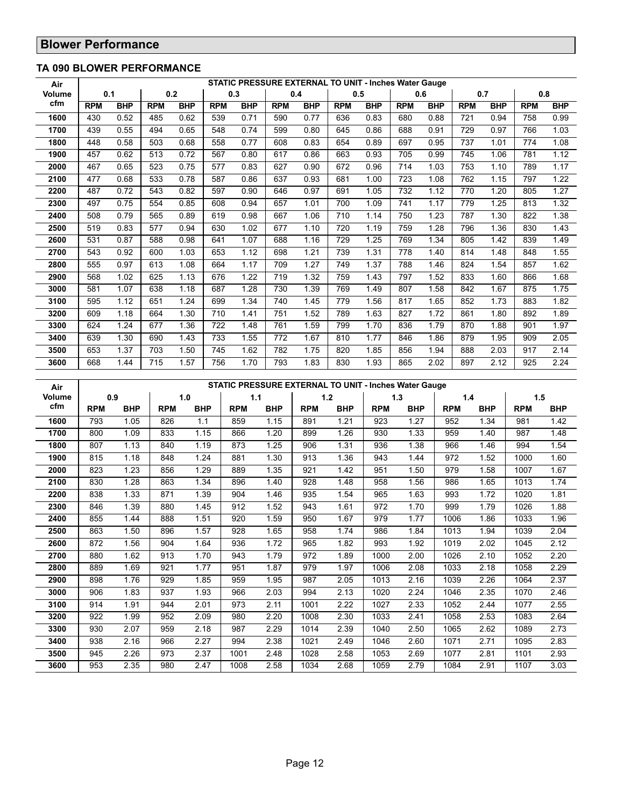# **Blower Performance**

#### **TA 090 BLOWER PERFORMANCE**

| Air    | STATIC PRESSURE EXTERNAL TO UNIT - Inches Water Gauge |            |            |            |            |                                                       |            |            |            |            |            |            |            |            |            |            |
|--------|-------------------------------------------------------|------------|------------|------------|------------|-------------------------------------------------------|------------|------------|------------|------------|------------|------------|------------|------------|------------|------------|
| Volume | 0.1                                                   |            | 0.2        |            |            | 0.3                                                   |            | 0.4        | 0.5        |            | 0.6        |            |            | 0.7        | 0.8        |            |
| cfm    | <b>RPM</b>                                            | <b>BHP</b> | <b>RPM</b> | <b>BHP</b> | <b>RPM</b> | <b>BHP</b>                                            | <b>RPM</b> | <b>BHP</b> | <b>RPM</b> | <b>BHP</b> | <b>RPM</b> | <b>BHP</b> | <b>RPM</b> | <b>BHP</b> | <b>RPM</b> | <b>BHP</b> |
| 1600   | 430                                                   | 0.52       | 485        | 0.62       | 539        | 0.71                                                  | 590        | 0.77       | 636        | 0.83       | 680        | 0.88       | 721        | 0.94       | 758        | 0.99       |
| 1700   | 439                                                   | 0.55       | 494        | 0.65       | 548        | 0.74                                                  | 599        | 0.80       | 645        | 0.86       | 688        | 0.91       | 729        | 0.97       | 766        | 1.03       |
| 1800   | 448                                                   | 0.58       | 503        | 0.68       | 558        | 0.77                                                  | 608        | 0.83       | 654        | 0.89       | 697        | 0.95       | 737        | 1.01       | 774        | 1.08       |
| 1900   | 457                                                   | 0.62       | 513        | 0.72       | 567        | 0.80                                                  | 617        | 0.86       | 663        | 0.93       | 705        | 0.99       | 745        | 1.06       | 781        | 1.12       |
| 2000   | 467                                                   | 0.65       | 523        | 0.75       | 577        | 0.83                                                  | 627        | 0.90       | 672        | 0.96       | 714        | 1.03       | 753        | 1.10       | 789        | 1.17       |
| 2100   | 477                                                   | 0.68       | 533        | 0.78       | 587        | 0.86                                                  | 637        | 0.93       | 681        | 1.00       | 723        | 1.08       | 762        | 1.15       | 797        | 1.22       |
| 2200   | 487                                                   | 0.72       | 543        | 0.82       | 597        | 0.90                                                  | 646        | 0.97       | 691        | 1.05       | 732        | 1.12       | 770        | 1.20       | 805        | 1.27       |
| 2300   | 497                                                   | 0.75       | 554        | 0.85       | 608        | 0.94                                                  | 657        | 1.01       | 700        | 1.09       | 741        | 1.17       | 779        | 1.25       | 813        | 1.32       |
| 2400   | 508                                                   | 0.79       | 565        | 0.89       | 619        | 0.98                                                  | 667        | 1.06       | 710        | 1.14       | 750        | 1.23       | 787        | 1.30       | 822        | 1.38       |
| 2500   | 519                                                   | 0.83       | 577        | 0.94       | 630        | 1.02                                                  | 677        | 1.10       | 720        | 1.19       | 759        | 1.28       | 796        | 1.36       | 830        | 1.43       |
| 2600   | 531                                                   | 0.87       | 588        | 0.98       | 641        | 1.07                                                  | 688        | 1.16       | 729        | 1.25       | 769        | 1.34       | 805        | 1.42       | 839        | 1.49       |
| 2700   | 543                                                   | 0.92       | 600        | 1.03       | 653        | 1.12                                                  | 698        | 1.21       | 739        | 1.31       | 778        | 1.40       | 814        | 1.48       | 848        | 1.55       |
| 2800   | 555                                                   | 0.97       | 613        | 1.08       | 664        | 1.17                                                  | 709        | 1.27       | 749        | 1.37       | 788        | 1.46       | 824        | 1.54       | 857        | 1.62       |
| 2900   | 568                                                   | 1.02       | 625        | 1.13       | 676        | 1.22                                                  | 719        | 1.32       | 759        | 1.43       | 797        | 1.52       | 833        | 1.60       | 866        | 1.68       |
| 3000   | 581                                                   | 1.07       | 638        | 1.18       | 687        | 1.28                                                  | 730        | 1.39       | 769        | 1.49       | 807        | 1.58       | 842        | 1.67       | 875        | 1.75       |
| 3100   | 595                                                   | 1.12       | 651        | 1.24       | 699        | 1.34                                                  | 740        | 1.45       | 779        | 1.56       | 817        | 1.65       | 852        | 1.73       | 883        | 1.82       |
| 3200   | 609                                                   | 1.18       | 664        | 1.30       | 710        | 1.41                                                  | 751        | 1.52       | 789        | 1.63       | 827        | 1.72       | 861        | 1.80       | 892        | 1.89       |
| 3300   | 624                                                   | 1.24       | 677        | 1.36       | 722        | 1.48                                                  | 761        | 1.59       | 799        | 1.70       | 836        | 1.79       | 870        | 1.88       | 901        | 1.97       |
| 3400   | 639                                                   | 1.30       | 690        | 1.43       | 733        | 1.55                                                  | 772        | 1.67       | 810        | 1.77       | 846        | 1.86       | 879        | 1.95       | 909        | 2.05       |
| 3500   | 653                                                   | 1.37       | 703        | 1.50       | 745        | 1.62                                                  | 782        | 1.75       | 820        | 1.85       | 856        | 1.94       | 888        | 2.03       | 917        | 2.14       |
| 3600   | 668                                                   | 1.44       | 715        | 1.57       | 756        | 1.70                                                  | 793        | 1.83       | 830        | 1.93       | 865        | 2.02       | 897        | 2.12       | 925        | 2.24       |
|        |                                                       |            |            |            |            |                                                       |            |            |            |            |            |            |            |            |            |            |
| Air    |                                                       |            |            |            |            | STATIC PRESSURE EXTERNAL TO UNIT - Inches Water Gauge |            |            |            |            |            |            |            |            |            |            |
| Volume |                                                       | 0.9        |            | 1.0        |            | $1.1$                                                 |            | $1.2$      |            |            | 1.3        |            | 1.4        |            | 1.5        |            |
| cfm    | <b>RPM</b>                                            | <b>BHP</b> | <b>RPM</b> |            | <b>BHP</b> | <b>RPM</b>                                            | <b>BHP</b> | <b>RPM</b> | <b>BHP</b> | <b>RPM</b> | <b>BHP</b> |            | <b>RPM</b> | <b>BHP</b> | <b>RPM</b> | <b>BHP</b> |
| 1600   | 793                                                   | 1.05       | 826        | 1.1        |            | 859                                                   | 1.15       | 891        | 1.21       | 923        | 1.27       |            | 952        | 1.34       | 981        | 1.42       |
| 1700   | 800                                                   | 1.09       | 833        |            | 1.15       | 866                                                   | 1.20       | 899        | 1.26       | 930        | 1.33       |            | 959        | 1.40       | 987        | 1.48       |
| 1800   | 807                                                   | 1.13       | 840        |            | 1.19       | 873                                                   | 1.25       | 906        | 1.31       | 936        | 1.38       |            | 966        | 1.46       | 994        | 1.54       |
| 1900   | 815                                                   | 1.18       | 848        |            | 1.24       | 881                                                   | 1.30       | 913        | 1.36       | 943        | 1.44       |            | 972        | 1.52       | 1000       | 1.60       |
| 2000   | 823                                                   | 1.23       | 856        |            | 1.29       | 889                                                   | 1.35       | 921        | 1.42       | 951        | 1.50       |            | 979        | 1.58       | 1007       | 1.67       |
| 2100   | 830                                                   | 1.28       | 863        |            | 1.34       | 896                                                   | 1.40       | 928        | 1.48       | 958        | 1.56       |            | 986        | 1.65       | 1013       | 1.74       |
| 2200   | 838                                                   | 1.33       | 871        |            | 1.39       | 904                                                   | 1.46       | 935        | 1.54       | 965        | 1.63       |            | 993        | 1.72       | 1020       | 1.81       |
| 2300   | 846                                                   | 1.39       | 880        |            | 1.45       | 912                                                   | 1.52       | 943        | 1.61       | 972        | 1.70       |            | 999        | 1.79       | 1026       | 1.88       |
| 2400   | 855                                                   | 1.44       | 888        |            | 1.51       | 920                                                   | 1.59       | 950        | 1.67       | 979        | 1.77       |            | 1006       | 1.86       | 1033       | 1.96       |
| 2500   | 863                                                   | 1.50       | 896        |            | 1.57       | 928                                                   | 1.65       | 958        | 1.74       | 986        | 1.84       |            | 1013       | 1.94       | 1039       | 2.04       |
| 2600   | 872                                                   | 1.56       | 904        |            | 1.64       | 936                                                   | 1.72       | 965        | 1.82       | 993        | 1.92       |            | 1019       | 2.02       | 1045       | 2.12       |
| 2700   | 880                                                   | 1.62       | 913        |            | 1.70       | 943                                                   | 1.79       | 972        | 1.89       | 1000       | 2.00       |            | 1026       | 2.10       | 1052       | 2.20       |
| 2800   | 889                                                   | 1.69       | 921        |            | 1.77       | 951                                                   | 1.87       | 979        | 1.97       | 1006       | 2.08       |            | 1033       | 2.18       | 1058       | 2.29       |
| 2900   | 898                                                   | 1.76       | 929        |            | 1.85       | 959                                                   | 1.95       | 987        | 2.05       | 1013       | 2.16       |            | 1039       | 2.26       | 1064       | 2.37       |
| 3000   | 906                                                   | 1.83       | 937        |            | 1.93       | 966                                                   | 2.03       | 994        | 2.13       | 1020       | 2.24       |            | 1046       | 2.35       | 1070       | 2.46       |
| 3100   | 914                                                   | 1.91       | 944        | 2.01       |            | 973                                                   | 2.11       | 1001       | 2.22       | 1027       | 2.33       |            | 1052       | 2.44       | 1077       | 2.55       |
| 3200   | 922                                                   | 1.99       | 952        |            | 2.09       | 980                                                   | 2.20       | 1008       | 2.30       | 1033       | 2.41       |            | 1058       | 2.53       | 1083       | 2.64       |
| 3300   | 930                                                   | 2.07       | 959        | 2.18       |            | 987                                                   | 2.29       | 1014       | 2.39       | 1040       | 2.50       |            | 1065       | 2.62       | 1089       | 2.73       |
| 3400   | 938                                                   | 2.16       | 966        | 2.27       |            | 994                                                   | 2.38       | 1021       | 2.49       | 1046       | 2.60       |            | 1071       | 2.71       | 1095       | 2.83       |
| 3500   | 945                                                   | 2.26       | 973        | 2.37       |            | 1001                                                  | 2.48       | 1028       | 2.58       | 1053       | 2.69       |            | 1077       | 2.81       | 1101       | 2.93       |
| 3600   | 953                                                   | 2.35       | 980        | 2.47       |            | 1008                                                  | 2.58       | 1034       | 2.68       | 1059       | 2.79       |            | 1084       | 2.91       | 1107       | 3.03       |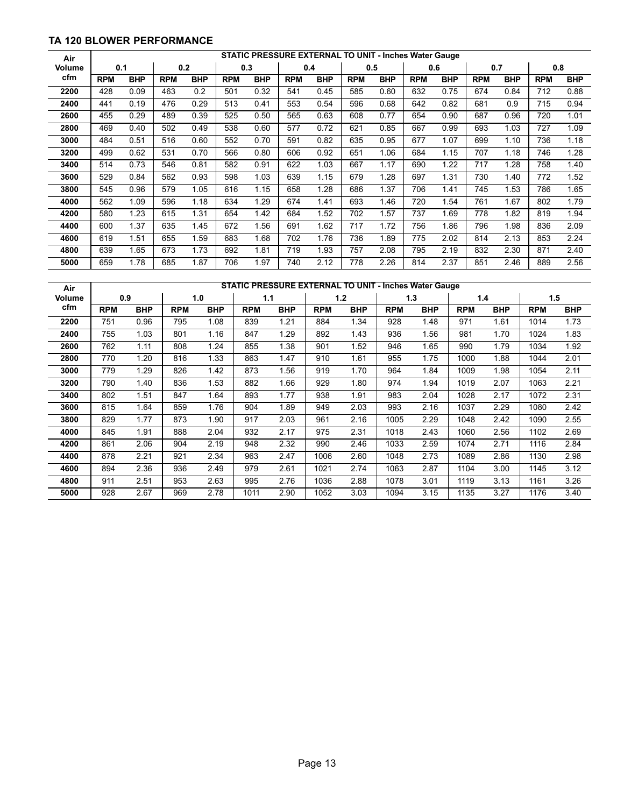# **TA 120 BLOWER PERFORMANCE**

**Air**

| Air    | STATIC PRESSURE EXTERNAL TO UNIT - Inches Water Gauge |            |            |            |            |            |            |            |            |            |            |            |            |            |            |            |
|--------|-------------------------------------------------------|------------|------------|------------|------------|------------|------------|------------|------------|------------|------------|------------|------------|------------|------------|------------|
| Volume | 0.1                                                   |            |            | 0.2        |            | 0.3        |            | 0.4        |            | 0.5        | 0.6        |            | 0.7        |            | 0.8        |            |
| cfm    | <b>RPM</b>                                            | <b>BHP</b> | <b>RPM</b> | <b>BHP</b> | <b>RPM</b> | <b>BHP</b> | <b>RPM</b> | <b>BHP</b> | <b>RPM</b> | <b>BHP</b> | <b>RPM</b> | <b>BHP</b> | <b>RPM</b> | <b>BHP</b> | <b>RPM</b> | <b>BHP</b> |
| 2200   | 428                                                   | 0.09       | 463        | 0.2        | 501        | 0.32       | 541        | 0.45       | 585        | 0.60       | 632        | 0.75       | 674        | 0.84       | 712        | 0.88       |
| 2400   | 441                                                   | 0.19       | 476        | 0.29       | 513        | 0.41       | 553        | 0.54       | 596        | 0.68       | 642        | 0.82       | 681        | 0.9        | 715        | 0.94       |
| 2600   | 455                                                   | 0.29       | 489        | 0.39       | 525        | 0.50       | 565        | 0.63       | 608        | 0.77       | 654        | 0.90       | 687        | 0.96       | 720        | 1.01       |
| 2800   | 469                                                   | 0.40       | 502        | 0.49       | 538        | 0.60       | 577        | 0.72       | 621        | 0.85       | 667        | 0.99       | 693        | 1.03       | 727        | 1.09       |
| 3000   | 484                                                   | 0.51       | 516        | 0.60       | 552        | 0.70       | 591        | 0.82       | 635        | 0.95       | 677        | 1.07       | 699        | 1.10       | 736        | 1.18       |
| 3200   | 499                                                   | 0.62       | 531        | 0.70       | 566        | 0.80       | 606        | 0.92       | 651        | 1.06       | 684        | 1.15       | 707        | 1.18       | 746        | 1.28       |
| 3400   | 514                                                   | 0.73       | 546        | 0.81       | 582        | 0.91       | 622        | 1.03       | 667        | 1.17       | 690        | 1.22       | 717        | 1.28       | 758        | 1.40       |
| 3600   | 529                                                   | 0.84       | 562        | 0.93       | 598        | 1.03       | 639        | 1.15       | 679        | 1.28       | 697        | 1.31       | 730        | 1.40       | 772        | 1.52       |
| 3800   | 545                                                   | 0.96       | 579        | 1.05       | 616        | 1.15       | 658        | 1.28       | 686        | 1.37       | 706        | 1.41       | 745        | 1.53       | 786        | 1.65       |
| 4000   | 562                                                   | 1.09       | 596        | 1.18       | 634        | 1.29       | 674        | 1.41       | 693        | 1.46       | 720        | 1.54       | 761        | 1.67       | 802        | 1.79       |
| 4200   | 580                                                   | 1.23       | 615        | 1.31       | 654        | 1.42       | 684        | 1.52       | 702        | 1.57       | 737        | 1.69       | 778        | 1.82       | 819        | 1.94       |
| 4400   | 600                                                   | 1.37       | 635        | 1.45       | 672        | 1.56       | 691        | 1.62       | 717        | 1.72       | 756        | 1.86       | 796        | 1.98       | 836        | 2.09       |
| 4600   | 619                                                   | 1.51       | 655        | 1.59       | 683        | 1.68       | 702        | 1.76       | 736        | 1.89       | 775        | 2.02       | 814        | 2.13       | 853        | 2.24       |
| 4800   | 639                                                   | 1.65       | 673        | 1.73       | 692        | 1.81       | 719        | 1.93       | 757        | 2.08       | 795        | 2.19       | 832        | 2.30       | 871        | 2.40       |
| 5000   | 659                                                   | 1.78       | 685        | 1.87       | 706        | 1.97       | 740        | 2.12       | 778        | 2.26       | 814        | 2.37       | 851        | 2.46       | 889        | 2.56       |

**STATIC PRESSURE EXTERNAL TO UNIT - Inches Water Gauge**

| Volume | 0.9        |            |            | 1.0        | 1.1        |            |            | 1.2        | 1.3        |            | 1.4        |            | 1.5        |            |
|--------|------------|------------|------------|------------|------------|------------|------------|------------|------------|------------|------------|------------|------------|------------|
| cfm    | <b>RPM</b> | <b>BHP</b> | <b>RPM</b> | <b>BHP</b> | <b>RPM</b> | <b>BHP</b> | <b>RPM</b> | <b>BHP</b> | <b>RPM</b> | <b>BHP</b> | <b>RPM</b> | <b>BHP</b> | <b>RPM</b> | <b>BHP</b> |
| 2200   | 751        | 0.96       | 795        | 1.08       | 839        | 1.21       | 884        | 1.34       | 928        | 1.48       | 971        | 1.61       | 1014       | 1.73       |
| 2400   | 755        | 1.03       | 801        | 1.16       | 847        | 1.29       | 892        | 1.43       | 936        | 1.56       | 981        | 1.70       | 1024       | 1.83       |
| 2600   | 762        | 1.11       | 808        | 1.24       | 855        | 1.38       | 901        | 1.52       | 946        | 1.65       | 990        | 1.79       | 1034       | 1.92       |
| 2800   | 770        | 1.20       | 816        | 1.33       | 863        | 1.47       | 910        | 1.61       | 955        | 1.75       | 1000       | 1.88       | 1044       | 2.01       |
| 3000   | 779        | 1.29       | 826        | 1.42       | 873        | 1.56       | 919        | 1.70       | 964        | 1.84       | 1009       | 1.98       | 1054       | 2.11       |
| 3200   | 790        | 1.40       | 836        | 1.53       | 882        | 1.66       | 929        | 1.80       | 974        | 1.94       | 1019       | 2.07       | 1063       | 2.21       |
| 3400   | 802        | 1.51       | 847        | 1.64       | 893        | 1.77       | 938        | 1.91       | 983        | 2.04       | 1028       | 2.17       | 1072       | 2.31       |
| 3600   | 815        | 1.64       | 859        | 1.76       | 904        | 1.89       | 949        | 2.03       | 993        | 2.16       | 1037       | 2.29       | 1080       | 2.42       |
| 3800   | 829        | 1.77       | 873        | 1.90       | 917        | 2.03       | 961        | 2.16       | 1005       | 2.29       | 1048       | 2.42       | 1090       | 2.55       |
| 4000   | 845        | 1.91       | 888        | 2.04       | 932        | 2.17       | 975        | 2.31       | 1018       | 2.43       | 1060       | 2.56       | 1102       | 2.69       |
| 4200   | 861        | 2.06       | 904        | 2.19       | 948        | 2.32       | 990        | 2.46       | 1033       | 2.59       | 1074       | 2.71       | 1116       | 2.84       |
| 4400   | 878        | 2.21       | 921        | 2.34       | 963        | 2.47       | 1006       | 2.60       | 1048       | 2.73       | 1089       | 2.86       | 1130       | 2.98       |
| 4600   | 894        | 2.36       | 936        | 2.49       | 979        | 2.61       | 1021       | 2.74       | 1063       | 2.87       | 1104       | 3.00       | 1145       | 3.12       |
| 4800   | 911        | 2.51       | 953        | 2.63       | 995        | 2.76       | 1036       | 2.88       | 1078       | 3.01       | 1119       | 3.13       | 1161       | 3.26       |
| 5000   | 928        | 2.67       | 969        | 2.78       | 1011       | 2.90       | 1052       | 3.03       | 1094       | 3.15       | 1135       | 3.27       | 1176       | 3.40       |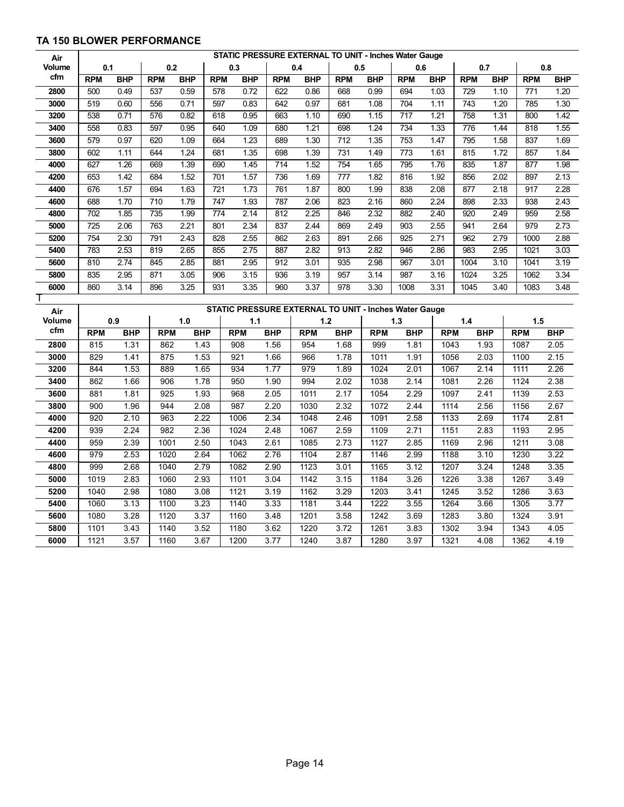#### **TA 150 BLOWER PERFORMANCE**

| Air    |            |            |            |            |            | STATIC PRESSURE EXTERNAL TO UNIT - Inches Water Gauge |            |            |            |            |            |            |            |            |            |            |
|--------|------------|------------|------------|------------|------------|-------------------------------------------------------|------------|------------|------------|------------|------------|------------|------------|------------|------------|------------|
| Volume | 0.1        |            |            | 0.2        |            | 0.3                                                   |            | 0.4        |            | 0.5        | 0.6        |            |            | 0.7        | 0.8        |            |
| cfm    | <b>RPM</b> | <b>BHP</b> | <b>RPM</b> | <b>BHP</b> | <b>RPM</b> | <b>BHP</b>                                            | <b>RPM</b> | <b>BHP</b> | <b>RPM</b> | <b>BHP</b> | <b>RPM</b> | <b>BHP</b> | <b>RPM</b> | <b>BHP</b> | <b>RPM</b> | <b>BHP</b> |
| 2800   | 500        | 0.49       | 537        | 0.59       | 578        | 0.72                                                  | 622        | 0.86       | 668        | 0.99       | 694        | 1.03       | 729        | 1.10       | 771        | 1.20       |
| 3000   | 519        | 0.60       | 556        | 0.71       | 597        | 0.83                                                  | 642        | 0.97       | 681        | 1.08       | 704        | 1.11       | 743        | 1.20       | 785        | 1.30       |
| 3200   | 538        | 0.71       | 576        | 0.82       | 618        | 0.95                                                  | 663        | 1.10       | 690        | 1.15       | 717        | 1.21       | 758        | 1.31       | 800        | 1.42       |
| 3400   | 558        | 0.83       | 597        | 0.95       | 640        | 1.09                                                  | 680        | 1.21       | 698        | 1.24       | 734        | 1.33       | 776        | 1.44       | 818        | 1.55       |
| 3600   | 579        | 0.97       | 620        | 1.09       | 664        | 1.23                                                  | 689        | 1.30       | 712        | 1.35       | 753        | 1.47       | 795        | 1.58       | 837        | 1.69       |
| 3800   | 602        | 1.11       | 644        | 1.24       | 681        | 1.35                                                  | 698        | 1.39       | 731        | 1.49       | 773        | 1.61       | 815        | 1.72       | 857        | 1.84       |
| 4000   | 627        | 1.26       | 669        | 1.39       | 690        | 1.45                                                  | 714        | 1.52       | 754        | 1.65       | 795        | 1.76       | 835        | 1.87       | 877        | 1.98       |
| 4200   | 653        | 1.42       | 684        | 1.52       | 701        | 1.57                                                  | 736        | 1.69       | 777        | 1.82       | 816        | 1.92       | 856        | 2.02       | 897        | 2.13       |
| 4400   | 676        | 1.57       | 694        | 1.63       | 721        | 1.73                                                  | 761        | 1.87       | 800        | 1.99       | 838        | 2.08       | 877        | 2.18       | 917        | 2.28       |
| 4600   | 688        | 1.70       | 710        | 1.79       | 747        | 1.93                                                  | 787        | 2.06       | 823        | 2.16       | 860        | 2.24       | 898        | 2.33       | 938        | 2.43       |
| 4800   | 702        | 1.85       | 735        | 1.99       | 774        | 2.14                                                  | 812        | 2.25       | 846        | 2.32       | 882        | 2.40       | 920        | 2.49       | 959        | 2.58       |
| 5000   | 725        | 2.06       | 763        | 2.21       | 801        | 2.34                                                  | 837        | 2.44       | 869        | 2.49       | 903        | 2.55       | 941        | 2.64       | 979        | 2.73       |
| 5200   | 754        | 2.30       | 791        | 2.43       | 828        | 2.55                                                  | 862        | 2.63       | 891        | 2.66       | 925        | 2.71       | 962        | 2.79       | 1000       | 2.88       |
| 5400   | 783        | 2.53       | 819        | 2.65       | 855        | 2.75                                                  | 887        | 2.82       | 913        | 2.82       | 946        | 2.86       | 983        | 2.95       | 1021       | 3.03       |
| 5600   | 810        | 2.74       | 845        | 2.85       | 881        | 2.95                                                  | 912        | 3.01       | 935        | 2.98       | 967        | 3.01       | 1004       | 3.10       | 1041       | 3.19       |
| 5800   | 835        | 2.95       | 871        | 3.05       | 906        | 3.15                                                  | 936        | 3.19       | 957        | 3.14       | 987        | 3.16       | 1024       | 3.25       | 1062       | 3.34       |
| 6000   | 860        | 3.14       | 896        | 3.25       | 931        | 3.35                                                  | 960        | 3.37       | 978        | 3.30       | 1008       | 3.31       | 1045       | 3.40       | 1083       | 3.48       |
|        |            |            |            |            |            |                                                       |            |            |            |            |            |            |            |            |            |            |

| Air    | STATIC PRESSURE EXTERNAL TO UNIT - Inches Water Gauge |            |            |            |            |            |            |            |            |            |            |            |            |            |
|--------|-------------------------------------------------------|------------|------------|------------|------------|------------|------------|------------|------------|------------|------------|------------|------------|------------|
| Volume | 0.9                                                   |            |            | 1.0        | 1.1        |            |            | $1.2$      |            | 1.3        | 1.4        |            |            | 1.5        |
| cfm    | <b>RPM</b>                                            | <b>BHP</b> | <b>RPM</b> | <b>BHP</b> | <b>RPM</b> | <b>BHP</b> | <b>RPM</b> | <b>BHP</b> | <b>RPM</b> | <b>BHP</b> | <b>RPM</b> | <b>BHP</b> | <b>RPM</b> | <b>BHP</b> |
| 2800   | 815                                                   | 1.31       | 862        | 1.43       | 908        | 1.56       | 954        | 1.68       | 999        | 1.81       | 1043       | 1.93       | 1087       | 2.05       |
| 3000   | 829                                                   | 1.41       | 875        | 1.53       | 921        | 1.66       | 966        | 1.78       | 1011       | 1.91       | 1056       | 2.03       | 1100       | 2.15       |
| 3200   | 844                                                   | 1.53       | 889        | 1.65       | 934        | 1.77       | 979        | 1.89       | 1024       | 2.01       | 1067       | 2.14       | 1111       | 2.26       |
| 3400   | 862                                                   | 1.66       | 906        | 1.78       | 950        | 1.90       | 994        | 2.02       | 1038       | 2.14       | 1081       | 2.26       | 1124       | 2.38       |
| 3600   | 881                                                   | 1.81       | 925        | 1.93       | 968        | 2.05       | 1011       | 2.17       | 1054       | 2.29       | 1097       | 2.41       | 1139       | 2.53       |
| 3800   | 900                                                   | 1.96       | 944        | 2.08       | 987        | 2.20       | 1030       | 2.32       | 1072       | 2.44       | 1114       | 2.56       | 1156       | 2.67       |
| 4000   | 920                                                   | 2.10       | 963        | 2.22       | 1006       | 2.34       | 1048       | 2.46       | 1091       | 2.58       | 1133       | 2.69       | 1174       | 2.81       |
| 4200   | 939                                                   | 2.24       | 982        | 2.36       | 1024       | 2.48       | 1067       | 2.59       | 1109       | 2.71       | 1151       | 2.83       | 1193       | 2.95       |
| 4400   | 959                                                   | 2.39       | 1001       | 2.50       | 1043       | 2.61       | 1085       | 2.73       | 1127       | 2.85       | 1169       | 2.96       | 1211       | 3.08       |
| 4600   | 979                                                   | 2.53       | 1020       | 2.64       | 1062       | 2.76       | 1104       | 2.87       | 1146       | 2.99       | 1188       | 3.10       | 1230       | 3.22       |
| 4800   | 999                                                   | 2.68       | 1040       | 2.79       | 1082       | 2.90       | 1123       | 3.01       | 1165       | 3.12       | 1207       | 3.24       | 1248       | 3.35       |
| 5000   | 1019                                                  | 2.83       | 1060       | 2.93       | 1101       | 3.04       | 1142       | 3.15       | 1184       | 3.26       | 1226       | 3.38       | 1267       | 3.49       |
| 5200   | 1040                                                  | 2.98       | 1080       | 3.08       | 1121       | 3.19       | 1162       | 3.29       | 1203       | 3.41       | 1245       | 3.52       | 1286       | 3.63       |
| 5400   | 1060                                                  | 3.13       | 1100       | 3.23       | 1140       | 3.33       | 1181       | 3.44       | 1222       | 3.55       | 1264       | 3.66       | 1305       | 3.77       |
| 5600   | 1080                                                  | 3.28       | 1120       | 3.37       | 1160       | 3.48       | 1201       | 3.58       | 1242       | 3.69       | 1283       | 3.80       | 1324       | 3.91       |
| 5800   | 1101                                                  | 3.43       | 1140       | 3.52       | 1180       | 3.62       | 1220       | 3.72       | 1261       | 3.83       | 1302       | 3.94       | 1343       | 4.05       |
| 6000   | 1121                                                  | 3.57       | 1160       | 3.67       | 1200       | 3.77       | 1240       | 3.87       | 1280       | 3.97       | 1321       | 4.08       | 1362       | 4.19       |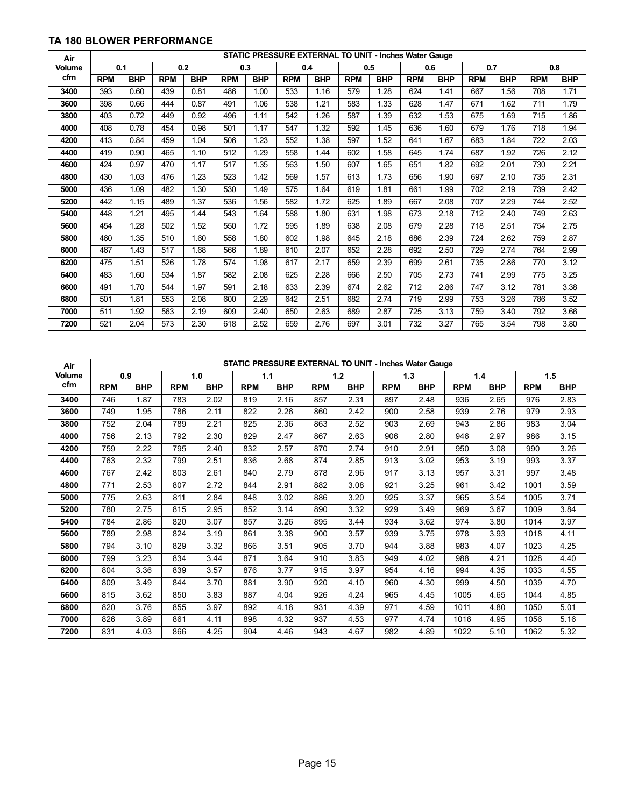#### **TA 180 BLOWER PERFORMANCE**

| Air           |            | <b>STATIC PRESSURE EXTERNAL TO UNIT - Inches Water Gauge</b> |            |            |            |            |            |            |            |            |            |            |            |            |            |            |
|---------------|------------|--------------------------------------------------------------|------------|------------|------------|------------|------------|------------|------------|------------|------------|------------|------------|------------|------------|------------|
| <b>Volume</b> | 0.1        |                                                              | 0.2        |            | 0.3        |            |            | 0.4        | 0.5        |            | 0.6        |            | 0.7        |            | 0.8        |            |
| cfm           | <b>RPM</b> | <b>BHP</b>                                                   | <b>RPM</b> | <b>BHP</b> | <b>RPM</b> | <b>BHP</b> | <b>RPM</b> | <b>BHP</b> | <b>RPM</b> | <b>BHP</b> | <b>RPM</b> | <b>BHP</b> | <b>RPM</b> | <b>BHP</b> | <b>RPM</b> | <b>BHP</b> |
| 3400          | 393        | 0.60                                                         | 439        | 0.81       | 486        | 1.00       | 533        | 1.16       | 579        | 1.28       | 624        | 1.41       | 667        | 1.56       | 708        | 1.71       |
| 3600          | 398        | 0.66                                                         | 444        | 0.87       | 491        | 1.06       | 538        | 1.21       | 583        | 1.33       | 628        | 1.47       | 671        | 1.62       | 711        | 1.79       |
| 3800          | 403        | 0.72                                                         | 449        | 0.92       | 496        | 1.11       | 542        | 1.26       | 587        | 1.39       | 632        | 1.53       | 675        | 1.69       | 715        | 1.86       |
| 4000          | 408        | 0.78                                                         | 454        | 0.98       | 501        | 1.17       | 547        | 1.32       | 592        | 1.45       | 636        | 1.60       | 679        | 1.76       | 718        | 1.94       |
| 4200          | 413        | 0.84                                                         | 459        | 1.04       | 506        | 1.23       | 552        | 1.38       | 597        | 1.52       | 641        | 1.67       | 683        | 1.84       | 722        | 2.03       |
| 4400          | 419        | 0.90                                                         | 465        | 1.10       | 512        | 1.29       | 558        | 1.44       | 602        | 1.58       | 645        | 1.74       | 687        | 1.92       | 726        | 2.12       |
| 4600          | 424        | 0.97                                                         | 470        | 1.17       | 517        | 1.35       | 563        | 1.50       | 607        | 1.65       | 651        | 1.82       | 692        | 2.01       | 730        | 2.21       |
| 4800          | 430        | 1.03                                                         | 476        | 1.23       | 523        | 1.42       | 569        | 1.57       | 613        | 1.73       | 656        | 1.90       | 697        | 2.10       | 735        | 2.31       |
| 5000          | 436        | 1.09                                                         | 482        | 1.30       | 530        | 1.49       | 575        | 1.64       | 619        | 1.81       | 661        | 1.99       | 702        | 2.19       | 739        | 2.42       |
| 5200          | 442        | 1.15                                                         | 489        | 1.37       | 536        | 1.56       | 582        | 1.72       | 625        | 1.89       | 667        | 2.08       | 707        | 2.29       | 744        | 2.52       |
| 5400          | 448        | 1.21                                                         | 495        | 1.44       | 543        | 1.64       | 588        | 1.80       | 631        | 1.98       | 673        | 2.18       | 712        | 2.40       | 749        | 2.63       |
| 5600          | 454        | 1.28                                                         | 502        | 1.52       | 550        | 1.72       | 595        | 1.89       | 638        | 2.08       | 679        | 2.28       | 718        | 2.51       | 754        | 2.75       |
| 5800          | 460        | 1.35                                                         | 510        | 1.60       | 558        | 1.80       | 602        | 1.98       | 645        | 2.18       | 686        | 2.39       | 724        | 2.62       | 759        | 2.87       |
| 6000          | 467        | 1.43                                                         | 517        | 1.68       | 566        | 1.89       | 610        | 2.07       | 652        | 2.28       | 692        | 2.50       | 729        | 2.74       | 764        | 2.99       |
| 6200          | 475        | 1.51                                                         | 526        | 1.78       | 574        | 1.98       | 617        | 2.17       | 659        | 2.39       | 699        | 2.61       | 735        | 2.86       | 770        | 3.12       |
| 6400          | 483        | 1.60                                                         | 534        | 1.87       | 582        | 2.08       | 625        | 2.28       | 666        | 2.50       | 705        | 2.73       | 741        | 2.99       | 775        | 3.25       |
| 6600          | 491        | 1.70                                                         | 544        | 1.97       | 591        | 2.18       | 633        | 2.39       | 674        | 2.62       | 712        | 2.86       | 747        | 3.12       | 781        | 3.38       |
| 6800          | 501        | 1.81                                                         | 553        | 2.08       | 600        | 2.29       | 642        | 2.51       | 682        | 2.74       | 719        | 2.99       | 753        | 3.26       | 786        | 3.52       |
| 7000          | 511        | 1.92                                                         | 563        | 2.19       | 609        | 2.40       | 650        | 2.63       | 689        | 2.87       | 725        | 3.13       | 759        | 3.40       | 792        | 3.66       |
| 7200          | 521        | 2.04                                                         | 573        | 2.30       | 618        | 2.52       | 659        | 2.76       | 697        | 3.01       | 732        | 3.27       | 765        | 3.54       | 798        | 3.80       |

| Air           | <b>STATIC PRESSURE EXTERNAL TO UNIT - Inches Water Gauge</b> |            |            |            |            |            |            |            |            |            |            |            |            |            |
|---------------|--------------------------------------------------------------|------------|------------|------------|------------|------------|------------|------------|------------|------------|------------|------------|------------|------------|
| <b>Volume</b> | 0.9                                                          |            | 1.0        |            | 1.1        |            | 1.2        |            | 1.3        |            | 1.4        |            | 1.5        |            |
| cfm           | <b>RPM</b>                                                   | <b>BHP</b> | <b>RPM</b> | <b>BHP</b> | <b>RPM</b> | <b>BHP</b> | <b>RPM</b> | <b>BHP</b> | <b>RPM</b> | <b>BHP</b> | <b>RPM</b> | <b>BHP</b> | <b>RPM</b> | <b>BHP</b> |
| 3400          | 746                                                          | 1.87       | 783        | 2.02       | 819        | 2.16       | 857        | 2.31       | 897        | 2.48       | 936        | 2.65       | 976        | 2.83       |
| 3600          | 749                                                          | 1.95       | 786        | 2.11       | 822        | 2.26       | 860        | 2.42       | 900        | 2.58       | 939        | 2.76       | 979        | 2.93       |
| 3800          | 752                                                          | 2.04       | 789        | 2.21       | 825        | 2.36       | 863        | 2.52       | 903        | 2.69       | 943        | 2.86       | 983        | 3.04       |
| 4000          | 756                                                          | 2.13       | 792        | 2.30       | 829        | 2.47       | 867        | 2.63       | 906        | 2.80       | 946        | 2.97       | 986        | 3.15       |
| 4200          | 759                                                          | 2.22       | 795        | 2.40       | 832        | 2.57       | 870        | 2.74       | 910        | 2.91       | 950        | 3.08       | 990        | 3.26       |
| 4400          | 763                                                          | 2.32       | 799        | 2.51       | 836        | 2.68       | 874        | 2.85       | 913        | 3.02       | 953        | 3.19       | 993        | 3.37       |
| 4600          | 767                                                          | 2.42       | 803        | 2.61       | 840        | 2.79       | 878        | 2.96       | 917        | 3.13       | 957        | 3.31       | 997        | 3.48       |
| 4800          | 771                                                          | 2.53       | 807        | 2.72       | 844        | 2.91       | 882        | 3.08       | 921        | 3.25       | 961        | 3.42       | 1001       | 3.59       |
| 5000          | 775                                                          | 2.63       | 811        | 2.84       | 848        | 3.02       | 886        | 3.20       | 925        | 3.37       | 965        | 3.54       | 1005       | 3.71       |
| 5200          | 780                                                          | 2.75       | 815        | 2.95       | 852        | 3.14       | 890        | 3.32       | 929        | 3.49       | 969        | 3.67       | 1009       | 3.84       |
| 5400          | 784                                                          | 2.86       | 820        | 3.07       | 857        | 3.26       | 895        | 3.44       | 934        | 3.62       | 974        | 3.80       | 1014       | 3.97       |
| 5600          | 789                                                          | 2.98       | 824        | 3.19       | 861        | 3.38       | 900        | 3.57       | 939        | 3.75       | 978        | 3.93       | 1018       | 4.11       |
| 5800          | 794                                                          | 3.10       | 829        | 3.32       | 866        | 3.51       | 905        | 3.70       | 944        | 3.88       | 983        | 4.07       | 1023       | 4.25       |
| 6000          | 799                                                          | 3.23       | 834        | 3.44       | 871        | 3.64       | 910        | 3.83       | 949        | 4.02       | 988        | 4.21       | 1028       | 4.40       |
| 6200          | 804                                                          | 3.36       | 839        | 3.57       | 876        | 3.77       | 915        | 3.97       | 954        | 4.16       | 994        | 4.35       | 1033       | 4.55       |
| 6400          | 809                                                          | 3.49       | 844        | 3.70       | 881        | 3.90       | 920        | 4.10       | 960        | 4.30       | 999        | 4.50       | 1039       | 4.70       |
| 6600          | 815                                                          | 3.62       | 850        | 3.83       | 887        | 4.04       | 926        | 4.24       | 965        | 4.45       | 1005       | 4.65       | 1044       | 4.85       |
| 6800          | 820                                                          | 3.76       | 855        | 3.97       | 892        | 4.18       | 931        | 4.39       | 971        | 4.59       | 1011       | 4.80       | 1050       | 5.01       |
| 7000          | 826                                                          | 3.89       | 861        | 4.11       | 898        | 4.32       | 937        | 4.53       | 977        | 4.74       | 1016       | 4.95       | 1056       | 5.16       |
| 7200          | 831                                                          | 4.03       | 866        | 4.25       | 904        | 4.46       | 943        | 4.67       | 982        | 4.89       | 1022       | 5.10       | 1062       | 5.32       |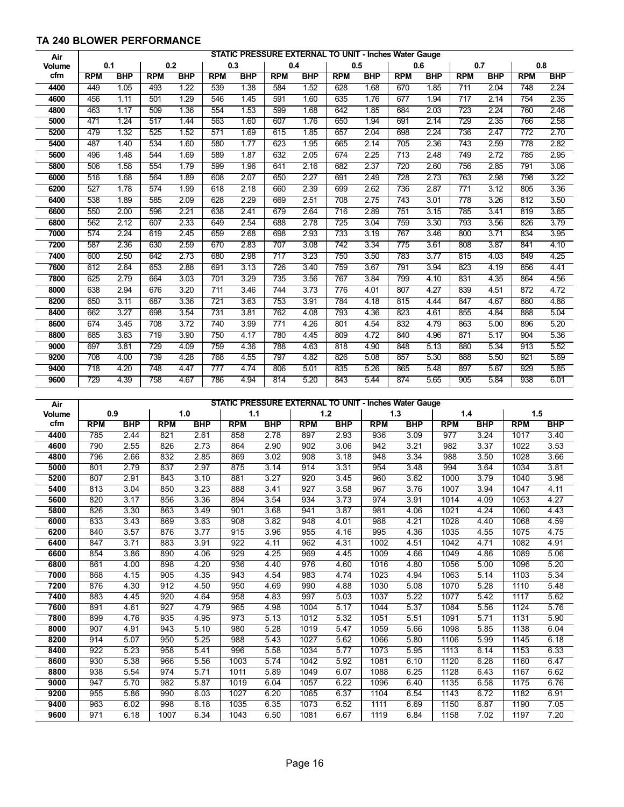#### **TA 240 BLOWER PERFORMANCE**

| Air    |            | <b>STATIC PRESSURE EXTERNAL TO UNIT - Inches Water Gauge</b> |            |            |            |            |            |            |            |            |            |            |                  |            |                  |            |
|--------|------------|--------------------------------------------------------------|------------|------------|------------|------------|------------|------------|------------|------------|------------|------------|------------------|------------|------------------|------------|
| Volume | 0.1        |                                                              | 0.2        |            | 0.3        |            | 0.4        |            | 0.5        |            |            | 0.6        | 0.7              |            | 0.8              |            |
| cfm    | <b>RPM</b> | <b>BHP</b>                                                   | <b>RPM</b> | <b>BHP</b> | <b>RPM</b> | <b>BHP</b> | <b>RPM</b> | <b>BHP</b> | <b>RPM</b> | <b>BHP</b> | <b>RPM</b> | <b>BHP</b> | <b>RPM</b>       | <b>BHP</b> | <b>RPM</b>       | <b>BHP</b> |
| 4400   | 449        | 1.05                                                         | 493        | 1.22       | 539        | 1.38       | 584        | 1.52       | 628        | 1.68       | 670        | 1.85       | 711              | 2.04       | 748              | 2.24       |
| 4600   | 456        | 1.11                                                         | 501        | 1.29       | 546        | 1.45       | 591        | 1.60       | 635        | 1.76       | 677        | 1.94       | 717              | 2.14       | 754              | 2.35       |
| 4800   | 463        | 1.17                                                         | 509        | 1.36       | 554        | 1.53       | 599        | 1.68       | 642        | 1.85       | 684        | 2.03       | $\overline{723}$ | 2.24       | 760              | 2.46       |
| 5000   | 471        | 1.24                                                         | 517        | 1.44       | 563        | 1.60       | 607        | 1.76       | 650        | 1.94       | 691        | 2.14       | 729              | 2.35       | 766              | 2.58       |
| 5200   | 479        | 1.32                                                         | 525        | 1.52       | 571        | 1.69       | 615        | 1.85       | 657        | 2.04       | 698        | 2.24       | 736              | 2.47       | $\overline{772}$ | 2.70       |
| 5400   | 487        | 1.40                                                         | 534        | 1.60       | 580        | 1.77       | 623        | 1.95       | 665        | 2.14       | 705        | 2.36       | 743              | 2.59       | 778              | 2.82       |
| 5600   | 496        | 1.48                                                         | 544        | 1.69       | 589        | 1.87       | 632        | 2.05       | 674        | 2.25       | 713        | 2.48       | 749              | 2.72       | 785              | 2.95       |
| 5800   | 506        | 1.58                                                         | 554        | 1.79       | 599        | 1.96       | 641        | 2.16       | 682        | 2.37       | 720        | 2.60       | 756              | 2.85       | 791              | 3.08       |
| 6000   | 516        | 1.68                                                         | 564        | 1.89       | 608        | 2.07       | 650        | 2.27       | 691        | 2.49       | 728        | 2.73       | 763              | 2.98       | 798              | 3.22       |
| 6200   | 527        | 1.78                                                         | 574        | 1.99       | 618        | 2.18       | 660        | 2.39       | 699        | 2.62       | 736        | 2.87       | 771              | 3.12       | 805              | 3.36       |
| 6400   | 538        | 1.89                                                         | 585        | 2.09       | 628        | 2.29       | 669        | 2.51       | 708        | 2.75       | 743        | 3.01       | 778              | 3.26       | 812              | 3.50       |
| 6600   | 550        | 2.00                                                         | 596        | 2.21       | 638        | 2.41       | 679        | 2.64       | 716        | 2.89       | 751        | 3.15       | 785              | 3.41       | 819              | 3.65       |
| 6800   | 562        | 2.12                                                         | 607        | 2.33       | 649        | 2.54       | 688        | 2.78       | 725        | 3.04       | 759        | 3.30       | 793              | 3.56       | 826              | 3.79       |
| 7000   | 574        | 2.24                                                         | 619        | 2.45       | 659        | 2.68       | 698        | 2.93       | 733        | 3.19       | 767        | 3.46       | 800              | 3.71       | 834              | 3.95       |
| 7200   | 587        | 2.36                                                         | 630        | 2.59       | 670        | 2.83       | 707        | 3.08       | 742        | 3.34       | 775        | 3.61       | 808              | 3.87       | 841              | 4.10       |
| 7400   | 600        | 2.50                                                         | 642        | 2.73       | 680        | 2.98       | 717        | 3.23       | 750        | 3.50       | 783        | 3.77       | 815              | 4.03       | 849              | 4.25       |
| 7600   | 612        | 2.64                                                         | 653        | 2.88       | 691        | 3.13       | 726        | 3.40       | 759        | 3.67       | 791        | 3.94       | 823              | 4.19       | 856              | 4.41       |
| 7800   | 625        | 2.79                                                         | 664        | 3.03       | 701        | 3.29       | 735        | 3.56       | 767        | 3.84       | 799        | 4.10       | 831              | 4.35       | 864              | 4.56       |
| 8000   | 638        | 2.94                                                         | 676        | 3.20       | 711        | 3.46       | 744        | 3.73       | 776        | 4.01       | 807        | 4.27       | 839              | 4.51       | 872              | 4.72       |
| 8200   | 650        | 3.11                                                         | 687        | 3.36       | 721        | 3.63       | 753        | 3.91       | 784        | 4.18       | 815        | 4.44       | 847              | 4.67       | 880              | 4.88       |
| 8400   | 662        | 3.27                                                         | 698        | 3.54       | 731        | 3.81       | 762        | 4.08       | 793        | 4.36       | 823        | 4.61       | 855              | 4.84       | 888              | 5.04       |
| 8600   | 674        | 3.45                                                         | 708        | 3.72       | 740        | 3.99       | 771        | 4.26       | 801        | 4.54       | 832        | 4.79       | 863              | 5.00       | 896              | 5.20       |
| 8800   | 685        | 3.63                                                         | 719        | 3.90       | 750        | 4.17       | 780        | 4.45       | 809        | 4.72       | 840        | 4.96       | 871              | 5.17       | 904              | 5.36       |
| 9000   | 697        | 3.81                                                         | 729        | 4.09       | 759        | 4.36       | 788        | 4.63       | 818        | 4.90       | 848        | 5.13       | 880              | 5.34       | 913              | 5.52       |
| 9200   | 708        | 4.00                                                         | 739        | 4.28       | 768        | 4.55       | 797        | 4.82       | 826        | 5.08       | 857        | 5.30       | 888              | 5.50       | 921              | 5.69       |
| 9400   | 718        | 4.20                                                         | 748        | 4.47       | 777        | 4.74       | 806        | 5.01       | 835        | 5.26       | 865        | 5.48       | 897              | 5.67       | 929              | 5.85       |
| 9600   | 729        | 4.39                                                         | 758        | 4.67       | 786        | 4.94       | 814        | 5.20       | 843        | 5.44       | 874        | 5.65       | 905              | 5.84       | 938              | 6.01       |

**Air Volume cfm STATIC PRESSURE EXTERNAL TO UNIT - Inches Water Gauge 0.9 1.0 1.1 1.2 1.3 1.4 1.5 RPM BHP RPM BHP RPM BHP RPM BHP RPM BHP RPM BHP RPM BHP** | 785 2.44 | 821 2.61 | 858 2.78 | 897 2.93 | 936 3.09 | 977 3.24 | 1017 3.40 | 790 2.55 | 826 2.73 | 864 2.90 | 902 3.06 | 942 3.21 | 982 3.37 | 1022 3.53 | 796 2.66 | 832 2.85 | 869 3.02 | 908 3.18 | 948 3.34 | 988 3.50 | 1028 3.66 801 2.79 837 2.97 875 3.14 914 3.31 954 3.48 994 3.64 1034 3.81 | 807 2.91 | 843 3.10 | 881 3.27 | 920 3.45 | 960 3.62 | 1000 3.79 | 1040 3.96 | 813 3.04 | 850 3.23 | 888 3.41 | 927 3.58 | 967 3.76 | 1007 3.94 | 1047 4.11 820 3.17 856 3.36 894 3.54 934 3.73 974 3.91 1014 4.09 1053 4.27 | 826 3.30 | 863 3.49 | 901 3.68 | 941 3.87 | 981 4.06 | 1021 4.24 | 1060 4.43 833 3.43 869 3.63 908 3.82 948 4.01 988 4.21 1028 4.40 1068 4.59 | 840 3.57 | 876 3.77 | 915 3.96 | 955 4.16 | 995 4.36 | 1035 4.55 | 1075 4.75 847 3.71 883 3.91 922 4.11 962 4.31 1002 4.51 1042 4.71 1082 4.91 854 3.86 890 4.06 929 4.25 969 4.45 1009 4.66 1049 4.86 1089 5.06 | 861 4.00 | 898 4.20 | 936 4.40 | 976 4.60 | 1016 4.80 | 1056 5.00 | 1096 5.20 868 4.15 905 4.35 943 4.54 983 4.74 1023 4.94 1063 5.14 1103 5.34 | 876 4.30 | 912 4.50 | 950 4.69 | 990 4.88 | 1030 5.08 | 1070 5.28 | 1110 5.48 883 4.45 920 4.64 958 4.83 997 5.03 1037 5.22 1077 5.42 1117 5.62 891 4.61 927 4.79 965 4.98 1004 5.17 1044 5.37 1084 5.56 1124 5.76 | 899 4.76 | 935 4.95 | 973 5.13 | 1012 5.32 | 1051 5.51 | 1091 5.71 | 1131 5.90 907 4.91 943 5.10 980 5.28 1019 5.47 1059 5.66 1098 5.85 1138 6.04 | 914 5.07 | 950 5.25 | 988 5.43 | 1027 5.62 | 1066 5.80 | 1106 5.99 | 1145 6.18 922 5.23 958 5.41 996 5.58 1034 5.77 1073 5.95 1113 6.14 1153 6.33 | 930 5.38 | 966 5.56 | 1003 5.74 | 1042 5.92 | 1081 6.10 | 1120 6.28 | 1160 6.47 938 5.54 974 5.71 1011 5.89 1049 6.07 1088 6.25 1128 6.43 1167 6.62 947 5.70 982 5.87 1019 6.04 1057 6.22 1096 6.40 1135 6.58 1175 6.76 955 5.86 990 6.03 1027 6.20 1065 6.37 1104 6.54 1143 6.72 1182 6.91 | 963 6.02 | 998 6.18 | 1035 6.35 | 1073 6.52 | 1111 6.69 | 1150 6.87 | 1190 7.05

971 6.18 1007 6.34 1043 6.50 1081 6.67 1119 6.84 1158 7.02 1197 7.20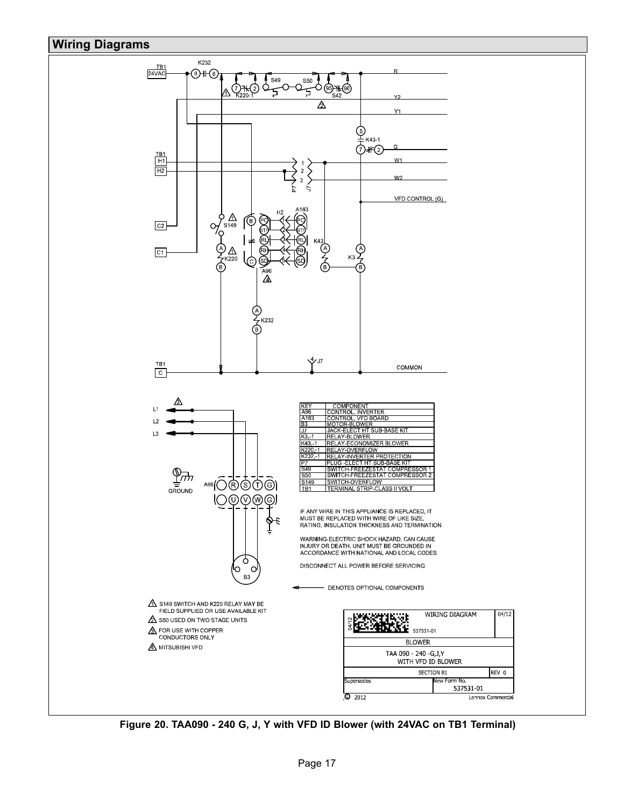

**Figure 20. TAA090 - 240 G, J, Y with VFD ID Blower (with 24VAC on TB1 Terminal)**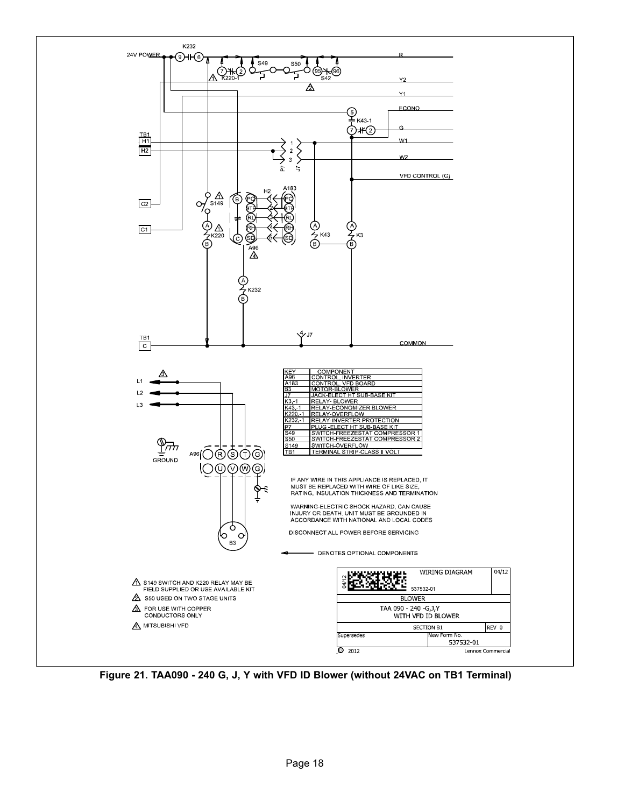

**Figure 21. TAA090 - 240 G, J, Y with VFD ID Blower (without 24VAC on TB1 Terminal)**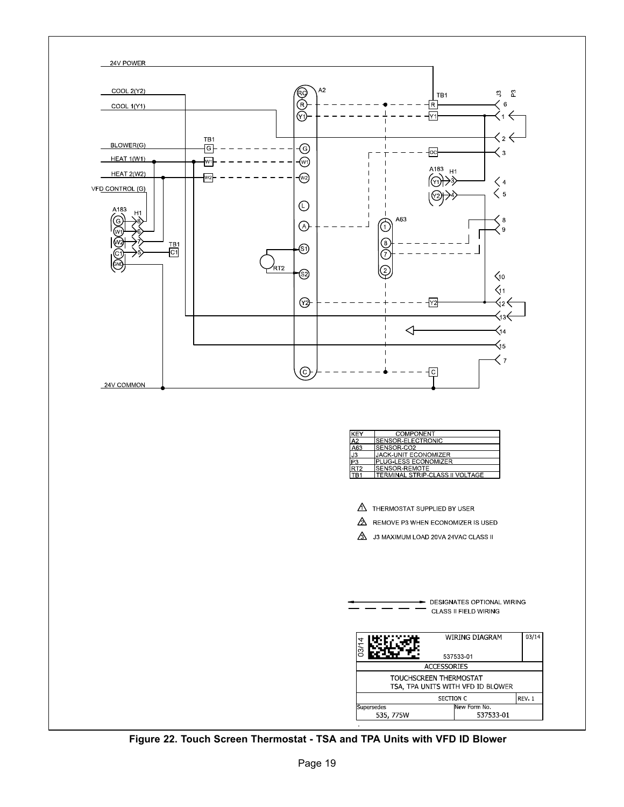

**Figure 22. Touch Screen Thermostat - TSA and TPA Units with VFD ID Blower**